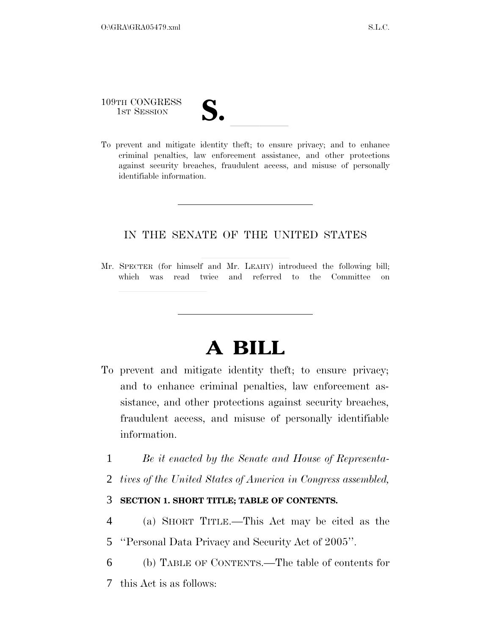109TH CONGRESS

- 
- 109TH CONGRESS<br>1st SESSION<br>To prevent and mitigate identity theft; to ensure privacy; and to enhance criminal penalties, law enforcement assistance, and other protections against security breaches, fraudulent access, and misuse of personally identifiable information.

# IN THE SENATE OF THE UNITED STATES

Mr. SPECTER (for himself and Mr. LEAHY) introduced the following bill; which was read twice and referred to the Committee on

# **A BILL**

- To prevent and mitigate identity theft; to ensure privacy; and to enhance criminal penalties, law enforcement assistance, and other protections against security breaches, fraudulent access, and misuse of personally identifiable information.
	- 1 *Be it enacted by the Senate and House of Representa-*
	- 2 *tives of the United States of America in Congress assembled,*

# 3 **SECTION 1. SHORT TITLE; TABLE OF CONTENTS.**

- 4 (a) SHORT TITLE.—This Act may be cited as the
- 5 ''Personal Data Privacy and Security Act of 2005''.
- 6 (b) TABLE OF CONTENTS.—The table of contents for
- 7 this Act is as follows: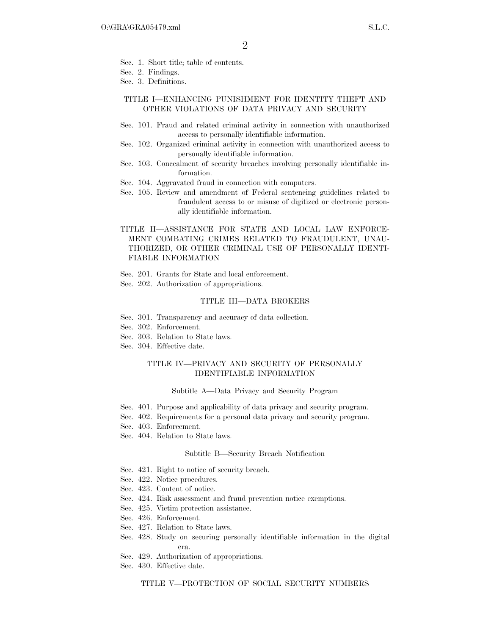- Sec. 1. Short title; table of contents.
- Sec. 2. Findings.
- Sec. 3. Definitions.

#### TITLE I—ENHANCING PUNISHMENT FOR IDENTITY THEFT AND OTHER VIOLATIONS OF DATA PRIVACY AND SECURITY

- Sec. 101. Fraud and related criminal activity in connection with unauthorized access to personally identifiable information.
- Sec. 102. Organized criminal activity in connection with unauthorized access to personally identifiable information.
- Sec. 103. Concealment of security breaches involving personally identifiable information.
- Sec. 104. Aggravated fraud in connection with computers.
- Sec. 105. Review and amendment of Federal sentencing guidelines related to fraudulent access to or misuse of digitized or electronic personally identifiable information.

### TITLE II—ASSISTANCE FOR STATE AND LOCAL LAW ENFORCE-MENT COMBATING CRIMES RELATED TO FRAUDULENT, UNAU-THORIZED, OR OTHER CRIMINAL USE OF PERSONALLY IDENTI-FIABLE INFORMATION

- Sec. 201. Grants for State and local enforcement.
- Sec. 202. Authorization of appropriations.

#### TITLE III—DATA BROKERS

- Sec. 301. Transparency and accuracy of data collection.
- Sec. 302. Enforcement.
- Sec. 303. Relation to State laws.
- Sec. 304. Effective date.

#### TITLE IV—PRIVACY AND SECURITY OF PERSONALLY IDENTIFIABLE INFORMATION

#### Subtitle A—Data Privacy and Security Program

- Sec. 401. Purpose and applicability of data privacy and security program.
- Sec. 402. Requirements for a personal data privacy and security program.
- Sec. 403. Enforcement.
- Sec. 404. Relation to State laws.

#### Subtitle B—Security Breach Notification

- Sec. 421. Right to notice of security breach.
- Sec. 422. Notice procedures.
- Sec. 423. Content of notice.
- Sec. 424. Risk assessment and fraud prevention notice exemptions.
- Sec. 425. Victim protection assistance.
- Sec. 426. Enforcement.
- Sec. 427. Relation to State laws.
- Sec. 428. Study on securing personally identifiable information in the digital era.
- Sec. 429. Authorization of appropriations.
- Sec. 430. Effective date.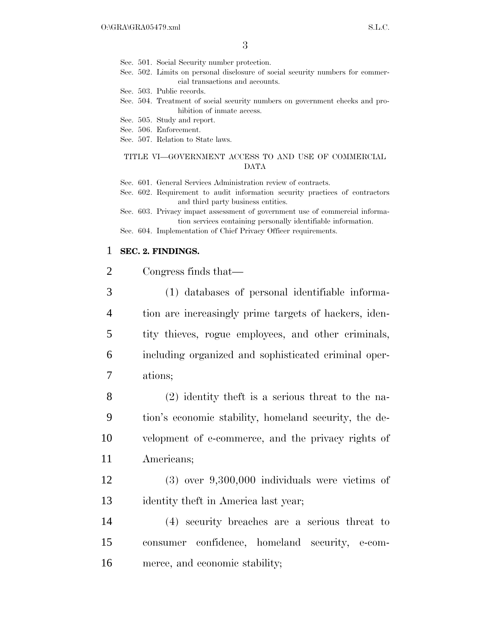Sec. 501. Social Security number protection.

Sec. 502. Limits on personal disclosure of social security numbers for commercial transactions and accounts.

Sec. 503. Public records.

- Sec. 504. Treatment of social security numbers on government checks and prohibition of inmate access.
- Sec. 505. Study and report.
- Sec. 506. Enforcement.
- Sec. 507. Relation to State laws.

#### TITLE VI—GOVERNMENT ACCESS TO AND USE OF COMMERCIAL DATA

Sec. 601. General Services Administration review of contracts.

Sec. 602. Requirement to audit information security practices of contractors and third party business entities.

Sec. 603. Privacy impact assessment of government use of commercial information services containing personally identifiable information.

Sec. 604. Implementation of Chief Privacy Officer requirements.

## 1 **SEC. 2. FINDINGS.**

| 2 | Congress finds that— |
|---|----------------------|
|---|----------------------|

 (1) databases of personal identifiable informa- tion are increasingly prime targets of hackers, iden- tity thieves, rogue employees, and other criminals, including organized and sophisticated criminal oper-7 ations;

 (2) identity theft is a serious threat to the na- tion's economic stability, homeland security, the de- velopment of e-commerce, and the privacy rights of Americans;

12 (3) over 9,300,000 individuals were victims of 13 identity theft in America last year;

14 (4) security breaches are a serious threat to 15 consumer confidence, homeland security, e-com-16 merce, and economic stability;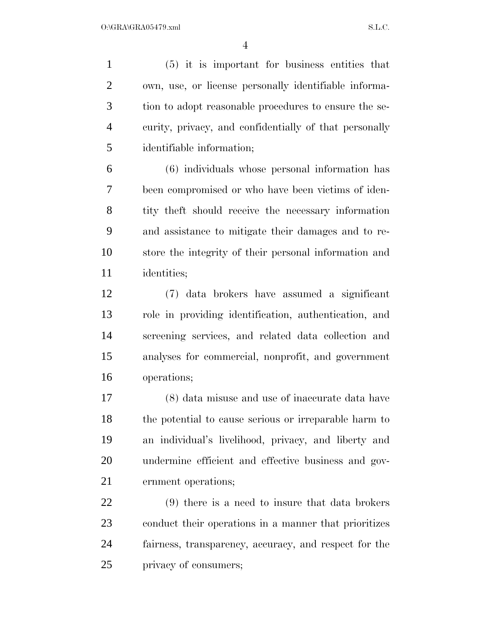(5) it is important for business entities that own, use, or license personally identifiable informa- tion to adopt reasonable procedures to ensure the se- curity, privacy, and confidentially of that personally identifiable information;

 (6) individuals whose personal information has been compromised or who have been victims of iden- tity theft should receive the necessary information and assistance to mitigate their damages and to re- store the integrity of their personal information and identities;

 (7) data brokers have assumed a significant role in providing identification, authentication, and screening services, and related data collection and analyses for commercial, nonprofit, and government operations;

 (8) data misuse and use of inaccurate data have the potential to cause serious or irreparable harm to an individual's livelihood, privacy, and liberty and undermine efficient and effective business and gov-ernment operations;

 (9) there is a need to insure that data brokers conduct their operations in a manner that prioritizes fairness, transparency, accuracy, and respect for the privacy of consumers;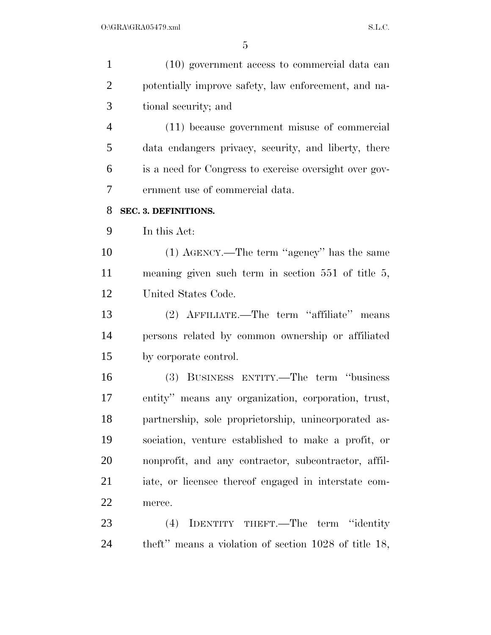| $\mathbf{1}$   | (10) government access to commercial data can           |
|----------------|---------------------------------------------------------|
| $\overline{2}$ | potentially improve safety, law enforcement, and na-    |
| 3              | tional security; and                                    |
| $\overline{4}$ | (11) because government misuse of commercial            |
| 5              | data endangers privacy, security, and liberty, there    |
| 6              | is a need for Congress to exercise oversight over gov-  |
| 7              | ernment use of commercial data.                         |
| 8              | SEC. 3. DEFINITIONS.                                    |
| 9              | In this Act:                                            |
| 10             | (1) AGENCY.—The term "agency" has the same              |
| 11             | meaning given such term in section $551$ of title $5$ , |
| 12             | United States Code.                                     |
| 13             | (2) AFFILIATE.—The term "affiliate" means               |
| 14             | persons related by common ownership or affiliated       |
| 15             | by corporate control.                                   |
| 16             | (3) BUSINESS ENTITY.—The term "business"                |
| 17             | entity" means any organization, corporation, trust,     |
| 18             | partnership, sole proprietorship, unincorporated as-    |
| 19             | sociation, venture established to make a profit, or     |
| 20             | nonprofit, and any contractor, subcontractor, affil-    |
| 21             | iate, or licensee thereof engaged in interstate com-    |
| 22             | merce.                                                  |
| 23             | IDENTITY THEFT.—The term "identity<br>(4)               |
| 24             | theft" means a violation of section 1028 of title 18,   |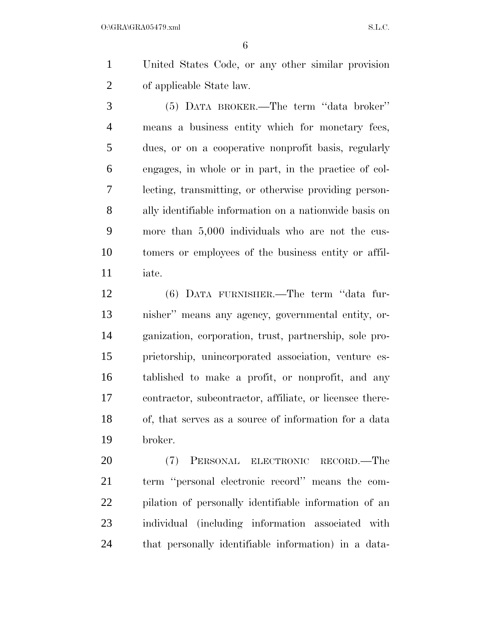United States Code, or any other similar provision of applicable State law.

 (5) DATA BROKER.—The term ''data broker'' means a business entity which for monetary fees, dues, or on a cooperative nonprofit basis, regularly engages, in whole or in part, in the practice of col- lecting, transmitting, or otherwise providing person- ally identifiable information on a nationwide basis on more than 5,000 individuals who are not the cus- tomers or employees of the business entity or affil-iate.

 (6) DATA FURNISHER.—The term ''data fur- nisher'' means any agency, governmental entity, or- ganization, corporation, trust, partnership, sole pro- prietorship, unincorporated association, venture es- tablished to make a profit, or nonprofit, and any contractor, subcontractor, affiliate, or licensee there- of, that serves as a source of information for a data broker.

 (7) PERSONAL ELECTRONIC RECORD.—The term ''personal electronic record'' means the com- pilation of personally identifiable information of an individual (including information associated with that personally identifiable information) in a data-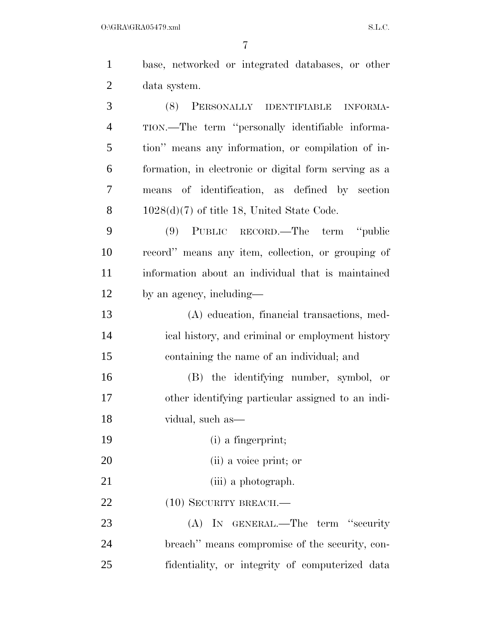| $\mathbf{1}$   | base, networked or integrated databases, or other           |
|----------------|-------------------------------------------------------------|
| $\overline{c}$ | data system.                                                |
| 3              | (8)<br>PERSONALLY<br><b>IDENTIFIABLE</b><br><b>INFORMA-</b> |
| $\overline{4}$ | TION.—The term "personally identifiable informa-            |
| 5              | tion" means any information, or compilation of in-          |
| 6              | formation, in electronic or digital form serving as a       |
| 7              | means of identification, as defined by section              |
| 8              | $1028(d)(7)$ of title 18, United State Code.                |
| 9              | (9) PUBLIC RECORD.—The term "public                         |
| 10             | record" means any item, collection, or grouping of          |
| 11             | information about an individual that is maintained          |
| 12             | by an agency, including—                                    |
| 13             | (A) education, financial transactions, med-                 |
| 14             | ical history, and criminal or employment history            |
| 15             | containing the name of an individual; and                   |
| 16             | (B) the identifying number, symbol, or                      |
| 17             | other identifying particular assigned to an indi-           |
| 18             | vidual, such as-                                            |
| 19             | (i) a fingerprint;                                          |
| 20             | (ii) a voice print; or                                      |
| 21             | (iii) a photograph.                                         |
| 22             | $(10)$ SECURITY BREACH.—                                    |
| 23             | IN GENERAL.—The<br>"security"<br>(A)<br>term                |

 breach'' means compromise of the security, con-fidentiality, or integrity of computerized data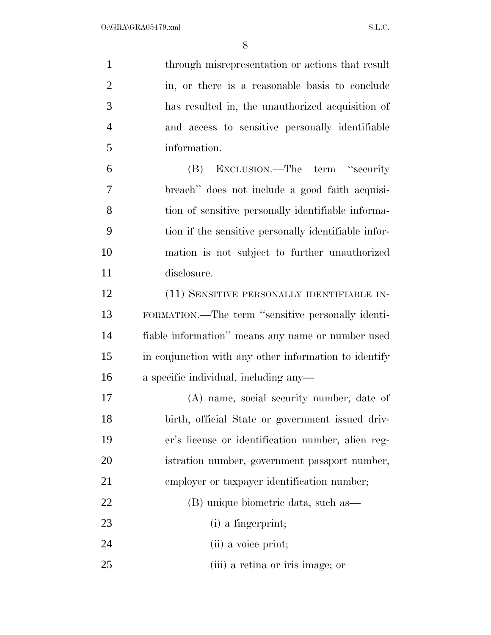| $\mathbf{1}$   | through misrepresentation or actions that result      |
|----------------|-------------------------------------------------------|
| $\overline{2}$ | in, or there is a reasonable basis to conclude        |
| 3              | has resulted in, the unauthorized acquisition of      |
| $\overline{4}$ | and access to sensitive personally identifiable       |
| 5              | information.                                          |
| 6              | EXCLUSION.—The term "security"<br>(B)                 |
| 7              | breach" does not include a good faith acquisi-        |
| 8              | tion of sensitive personally identifiable informa-    |
| 9              | tion if the sensitive personally identifiable infor-  |
| 10             | mation is not subject to further unauthorized         |
| 11             | disclosure.                                           |
| 12             | (11) SENSITIVE PERSONALLY IDENTIFIABLE IN-            |
| 13             | FORMATION.—The term "sensitive personally identi-     |
| 14             | fiable information" means any name or number used     |
| 15             | in conjunction with any other information to identify |
| 16             | a specific individual, including any-                 |
| 17             | (A) name, social security number, date of             |
| 18             | birth, official State or government issued driv-      |
| 19             | er's license or identification number, alien reg-     |
| 20             | istration number, government passport number,         |
| 21             | employer or taxpayer identification number;           |
| 22             | (B) unique biometric data, such as—                   |
| 23             | (i) a fingerprint;                                    |
| 24             | (ii) a voice print;                                   |
| 25             | (iii) a retina or iris image; or                      |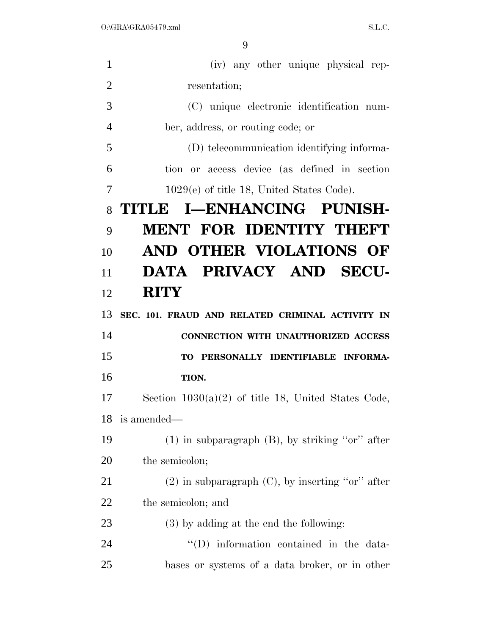| $\mathbf{1}$   | (iv) any other unique physical rep-                   |
|----------------|-------------------------------------------------------|
| $\overline{2}$ | resentation;                                          |
| 3              | (C) unique electronic identification num-             |
| $\overline{4}$ | ber, address, or routing code; or                     |
| 5              | (D) telecommunication identifying informa-            |
| 6              | tion or access device (as defined in section          |
| 7              | $1029(e)$ of title 18, United States Code).           |
| 8              | TITLE I—ENHANCING PUNISH-                             |
| 9              | <b>MENT FOR IDENTITY THEFT</b>                        |
| 10             | AND OTHER VIOLATIONS OF                               |
| 11             | DATA PRIVACY AND SECU-                                |
| 12             | <b>RITY</b>                                           |
| 13             | SEC. 101. FRAUD AND RELATED CRIMINAL ACTIVITY IN      |
| 14             | CONNECTION WITH UNAUTHORIZED ACCESS                   |
| 15             | TO PERSONALLY IDENTIFIABLE INFORMA-                   |
| 16             | TION.                                                 |
| 17             | Section $1030(a)(2)$ of title 18, United States Code, |
|                | 18 is amended—                                        |
| 19             | $(1)$ in subparagraph $(B)$ , by striking "or" after  |
| 20             | the semicolon;                                        |
| 21             | $(2)$ in subparagraph $(C)$ , by inserting "or" after |
| 22             | the semicolon; and                                    |
| 23             | $(3)$ by adding at the end the following:             |
|                |                                                       |
| 24             | "(D) information contained in the data-               |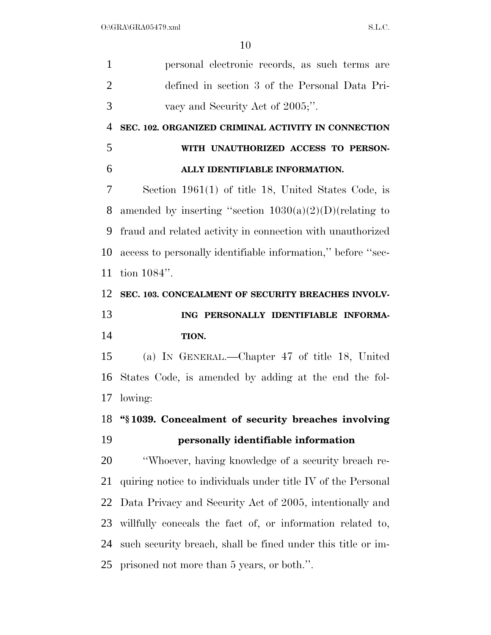| $\mathbf{1}$   | personal electronic records, as such terms are               |
|----------------|--------------------------------------------------------------|
| $\overline{2}$ | defined in section 3 of the Personal Data Pri-               |
| 3              | vacy and Security Act of 2005;".                             |
| 4              | SEC. 102. ORGANIZED CRIMINAL ACTIVITY IN CONNECTION          |
| 5              | WITH UNAUTHORIZED ACCESS TO PERSON-                          |
| 6              | ALLY IDENTIFIABLE INFORMATION.                               |
| 7              | Section $1961(1)$ of title 18, United States Code, is        |
| 8              | amended by inserting "section $1030(a)(2)(D)(relating to$    |
| 9              | fraud and related activity in connection with unauthorized   |
| 10             | access to personally identifiable information," before "sec- |
| 11             | tion $1084$ ".                                               |
| 12             | SEC. 103. CONCEALMENT OF SECURITY BREACHES INVOLV-           |
|                |                                                              |
| 13             | ING PERSONALLY IDENTIFIABLE INFORMA-                         |
| 14             | TION.                                                        |
| 15             | (a) IN GENERAL.—Chapter 47 of title 18, United               |
| 16             | States Code, is amended by adding at the end the fol-        |
| 17             | lowing:                                                      |
| 18             | "§1039. Concealment of security breaches involving           |
| 19             | personally identifiable information                          |
| 20             | "Whoever, having knowledge of a security breach re-          |
| 21             | quiring notice to individuals under title IV of the Personal |
| 22             | Data Privacy and Security Act of 2005, intentionally and     |
| 23             | willfully conceals the fact of, or information related to,   |
| 24             | such security breach, shall be fined under this title or im- |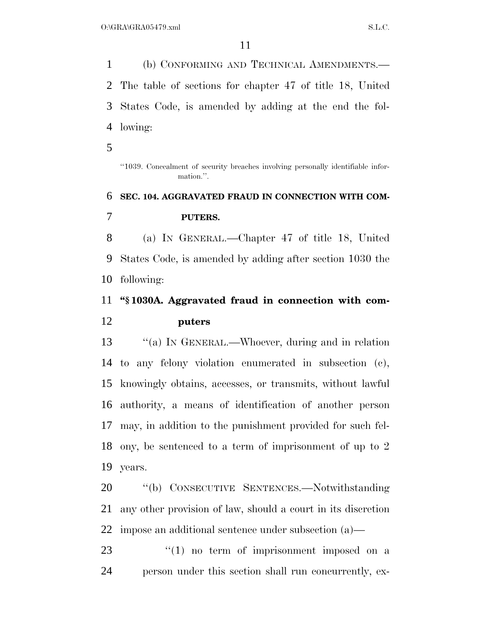(b) CONFORMING AND TECHNICAL AMENDMENTS.— The table of sections for chapter 47 of title 18, United States Code, is amended by adding at the end the fol-lowing:

''1039. Concealment of security breaches involving personally identifiable information.''.

# **SEC. 104. AGGRAVATED FRAUD IN CONNECTION WITH COM- PUTERS.**  (a) IN GENERAL.—Chapter 47 of title 18, United

 States Code, is amended by adding after section 1030 the following:

# **''§ 1030A. Aggravated fraud in connection with com-puters**

13 "(a) In GENERAL.—Whoever, during and in relation to any felony violation enumerated in subsection (c), knowingly obtains, accesses, or transmits, without lawful authority, a means of identification of another person may, in addition to the punishment provided for such fel- ony, be sentenced to a term of imprisonment of up to 2 years.

 ''(b) CONSECUTIVE SENTENCES.—Notwithstanding any other provision of law, should a court in its discretion impose an additional sentence under subsection (a)—

23 ''(1) no term of imprisonment imposed on a person under this section shall run concurrently, ex-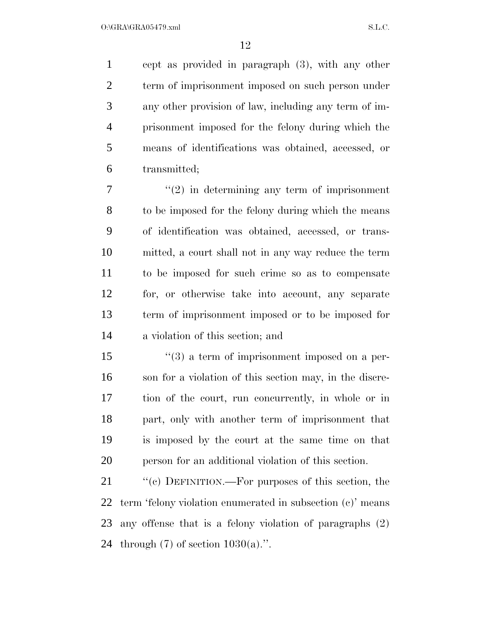cept as provided in paragraph (3), with any other term of imprisonment imposed on such person under any other provision of law, including any term of im- prisonment imposed for the felony during which the means of identifications was obtained, accessed, or transmitted;

 $7 \t$  ''(2) in determining any term of imprisonment to be imposed for the felony during which the means of identification was obtained, accessed, or trans- mitted, a court shall not in any way reduce the term to be imposed for such crime so as to compensate for, or otherwise take into account, any separate term of imprisonment imposed or to be imposed for a violation of this section; and

 $\frac{1}{3}$  a term of imprisonment imposed on a per- son for a violation of this section may, in the discre- tion of the court, run concurrently, in whole or in part, only with another term of imprisonment that is imposed by the court at the same time on that person for an additional violation of this section.

21 "(c) DEFINITION.—For purposes of this section, the term 'felony violation enumerated in subsection (c)' means any offense that is a felony violation of paragraphs (2) 24 through  $(7)$  of section  $1030(a)$ .".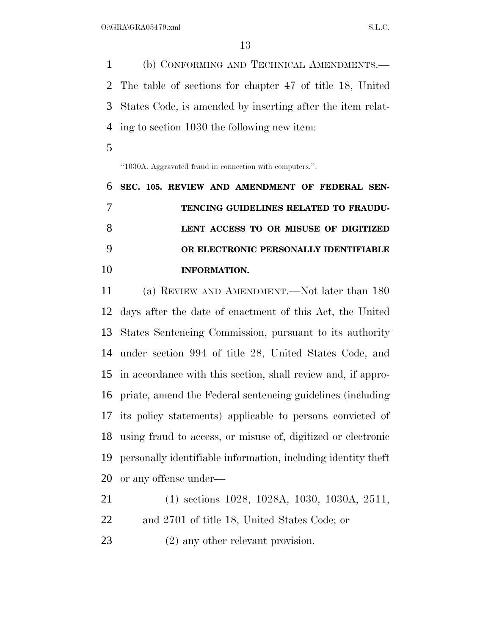(b) CONFORMING AND TECHNICAL AMENDMENTS.— The table of sections for chapter 47 of title 18, United States Code, is amended by inserting after the item relat-ing to section 1030 the following new item:

''1030A. Aggravated fraud in connection with computers.''.

 **SEC. 105. REVIEW AND AMENDMENT OF FEDERAL SEN- TENCING GUIDELINES RELATED TO FRAUDU- LENT ACCESS TO OR MISUSE OF DIGITIZED OR ELECTRONIC PERSONALLY IDENTIFIABLE INFORMATION.** 

 (a) REVIEW AND AMENDMENT.—Not later than 180 days after the date of enactment of this Act, the United States Sentencing Commission, pursuant to its authority under section 994 of title 28, United States Code, and in accordance with this section, shall review and, if appro- priate, amend the Federal sentencing guidelines (including its policy statements) applicable to persons convicted of using fraud to access, or misuse of, digitized or electronic personally identifiable information, including identity theft or any offense under—

| 21 | $(1)$ sections 1028, 1028A, 1030, 1030A, 2511, |
|----|------------------------------------------------|
| 22 | and 2701 of title 18, United States Code; or   |
| 23 | $(2)$ any other relevant provision.            |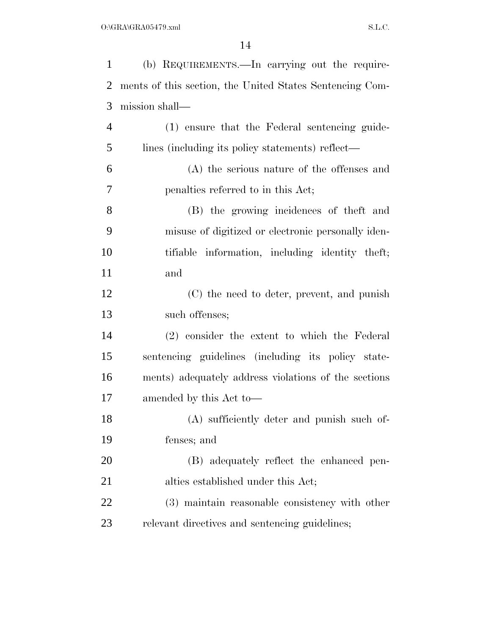| $\mathbf{1}$   | (b) REQUIREMENTS.—In carrying out the require-           |
|----------------|----------------------------------------------------------|
| $\overline{2}$ | ments of this section, the United States Sentencing Com- |
| 3              | mission shall—                                           |
| $\overline{4}$ | (1) ensure that the Federal sentencing guide-            |
| 5              | lines (including its policy statements) reflect—         |
| 6              | (A) the serious nature of the offenses and               |
| 7              | penalties referred to in this Act;                       |
| 8              | (B) the growing incidences of the ft and                 |
| 9              | misuse of digitized or electronic personally iden-       |
| 10             | tifiable information, including identity theft;          |
| 11             | and                                                      |
| 12             | (C) the need to deter, prevent, and punish               |
| 13             | such offenses;                                           |
| 14             | (2) consider the extent to which the Federal             |
| 15             | sentencing guidelines (including its policy state-       |
| 16             | ments) adequately address violations of the sections     |
| 17             | amended by this Act to-                                  |
| 18             | (A) sufficiently deter and punish such of-               |
| 19             | fenses; and                                              |
| 20             | (B) adequately reflect the enhanced pen-                 |
| 21             | alties established under this Act;                       |
| 22             | (3) maintain reasonable consistency with other           |
| 23             | relevant directives and sentencing guidelines;           |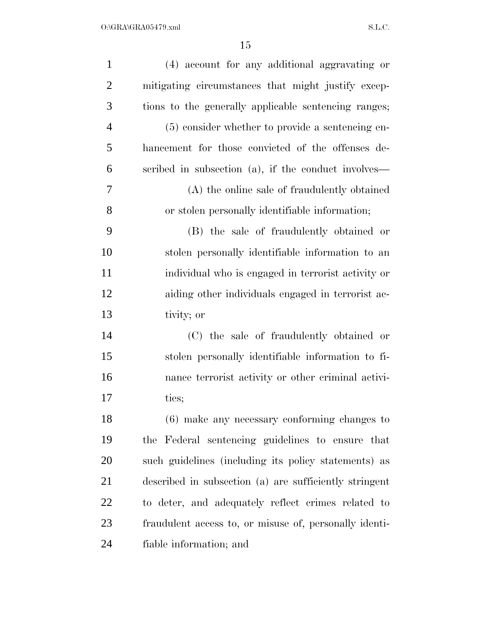| $\mathbf{1}$   | (4) account for any additional aggravating or          |
|----------------|--------------------------------------------------------|
| $\overline{2}$ | mitigating circumstances that might justify excep-     |
| 3              | tions to the generally applicable sentencing ranges;   |
| $\overline{4}$ | (5) consider whether to provide a sentencing en-       |
| 5              | hancement for those convicted of the offenses de-      |
| 6              | scribed in subsection (a), if the conduct involves—    |
| 7              | (A) the online sale of fraudulently obtained           |
| 8              | or stolen personally identifiable information;         |
| 9              | (B) the sale of fraudulently obtained or               |
| 10             | stolen personally identifiable information to an       |
| 11             | individual who is engaged in terrorist activity or     |
| 12             | aiding other individuals engaged in terrorist ac-      |
| 13             | tivity; or                                             |
| 14             | (C) the sale of fraudulently obtained or               |
| 15             | stolen personally identifiable information to fi-      |
| 16             | nance terrorist activity or other criminal activi-     |
| 17             | ties;                                                  |
| 18             | (6) make any necessary conforming changes to           |
| 19             | the Federal sentencing guidelines to ensure that       |
| 20             | such guidelines (including its policy statements) as   |
| 21             | described in subsection (a) are sufficiently stringent |
| 22             | to deter, and adequately reflect crimes related to     |
| 23             | fraudulent access to, or misuse of, personally identi- |
| 24             | fiable information; and                                |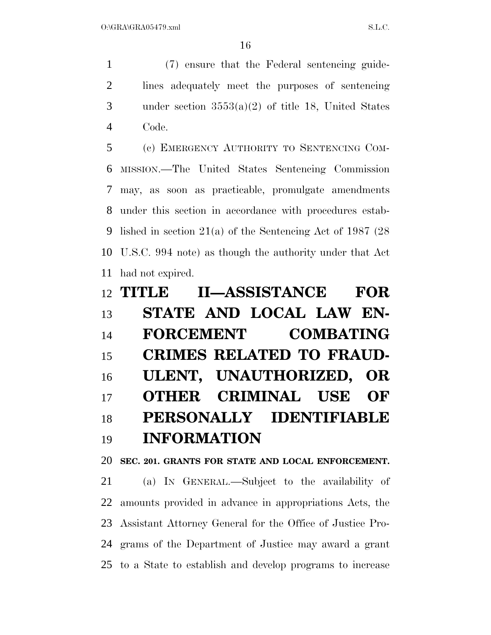(7) ensure that the Federal sentencing guide- lines adequately meet the purposes of sentencing under section 3553(a)(2) of title 18, United States Code.

 (c) EMERGENCY AUTHORITY TO SENTENCING COM- MISSION.—The United States Sentencing Commission may, as soon as practicable, promulgate amendments under this section in accordance with procedures estab- lished in section 21(a) of the Sentencing Act of 1987 (28 U.S.C. 994 note) as though the authority under that Act had not expired.

|    | <b>II—ASSISTANCE</b><br>12 TITLE     | <b>FOR</b> |
|----|--------------------------------------|------------|
| 13 | STATE AND LOCAL LAW EN-              |            |
| 14 | <b>COMBATING</b><br><b>FORCEMENT</b> |            |
| 15 | <b>CRIMES RELATED TO FRAUD-</b>      |            |
| 16 | ULENT, UNAUTHORIZED, OR              |            |
| 17 | OTHER CRIMINAL USE OF                |            |
| 18 | PERSONALLY IDENTIFIABLE              |            |
| 19 | <b>INFORMATION</b>                   |            |

**SEC. 201. GRANTS FOR STATE AND LOCAL ENFORCEMENT.** 

 (a) IN GENERAL.—Subject to the availability of amounts provided in advance in appropriations Acts, the Assistant Attorney General for the Office of Justice Pro- grams of the Department of Justice may award a grant to a State to establish and develop programs to increase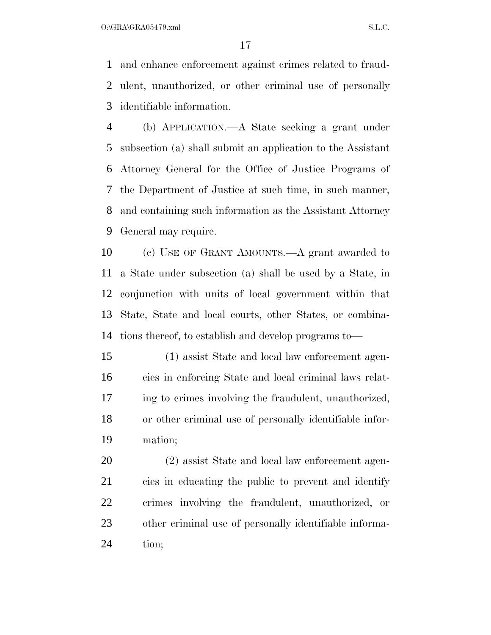$O:\overline{GRA}\setminus GRA$   $SL.C.$ 

 and enhance enforcement against crimes related to fraud- ulent, unauthorized, or other criminal use of personally identifiable information.

 (b) APPLICATION.—A State seeking a grant under subsection (a) shall submit an application to the Assistant Attorney General for the Office of Justice Programs of the Department of Justice at such time, in such manner, and containing such information as the Assistant Attorney General may require.

 (c) USE OF GRANT AMOUNTS.—A grant awarded to a State under subsection (a) shall be used by a State, in conjunction with units of local government within that State, State and local courts, other States, or combina-tions thereof, to establish and develop programs to—

 (1) assist State and local law enforcement agen- cies in enforcing State and local criminal laws relat- ing to crimes involving the fraudulent, unauthorized, or other criminal use of personally identifiable infor-mation;

 (2) assist State and local law enforcement agen- cies in educating the public to prevent and identify crimes involving the fraudulent, unauthorized, or other criminal use of personally identifiable informa-tion;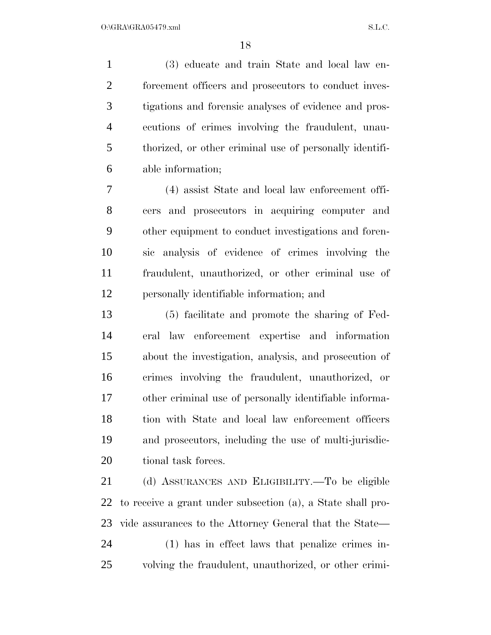(3) educate and train State and local law en-2 forcement officers and prosecutors to conduct inves- tigations and forensic analyses of evidence and pros- ecutions of crimes involving the fraudulent, unau- thorized, or other criminal use of personally identifi-able information;

 (4) assist State and local law enforcement offi- cers and prosecutors in acquiring computer and other equipment to conduct investigations and foren- sic analysis of evidence of crimes involving the fraudulent, unauthorized, or other criminal use of personally identifiable information; and

 (5) facilitate and promote the sharing of Fed- eral law enforcement expertise and information about the investigation, analysis, and prosecution of crimes involving the fraudulent, unauthorized, or other criminal use of personally identifiable informa- tion with State and local law enforcement officers and prosecutors, including the use of multi-jurisdic-20 tional task forces.

 (d) ASSURANCES AND ELIGIBILITY.—To be eligible to receive a grant under subsection (a), a State shall pro-vide assurances to the Attorney General that the State—

 (1) has in effect laws that penalize crimes in-volving the fraudulent, unauthorized, or other crimi-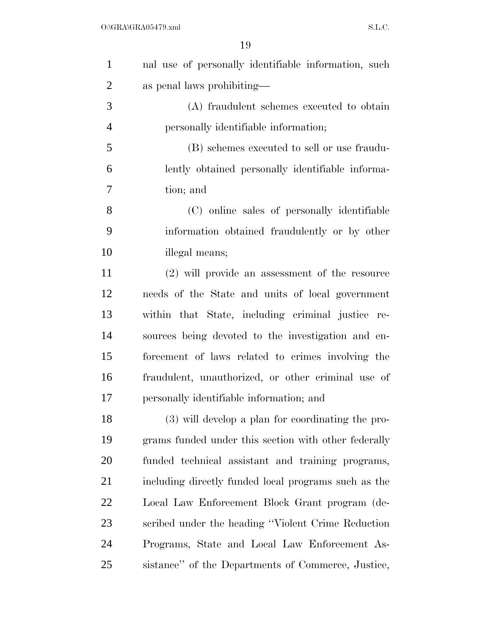| $\mathbf{1}$   | nal use of personally identifiable information, such |
|----------------|------------------------------------------------------|
| $\overline{2}$ | as penal laws prohibiting—                           |
| 3              | (A) fraudulent schemes executed to obtain            |
| $\overline{4}$ | personally identifiable information;                 |
| 5              | (B) schemes executed to sell or use fraudu-          |
| 6              | lently obtained personally identifiable informa-     |
| 7              | tion; and                                            |
| 8              | (C) online sales of personally identifiable          |
| 9              | information obtained fraudulently or by other        |
| 10             | illegal means;                                       |
| 11             | (2) will provide an assessment of the resource       |
| 12             | needs of the State and units of local government     |
| 13             | within that State, including criminal justice re-    |
| 14             | sources being devoted to the investigation and en-   |
| 15             | forcement of laws related to crimes involving the    |
| 16             | fraudulent, unauthorized, or other criminal use of   |
| 17             | personally identifiable information; and             |
| 18             | (3) will develop a plan for coordinating the pro-    |
| 19             | grams funded under this section with other federally |
| 20             | funded technical assistant and training programs,    |
| 21             | including directly funded local programs such as the |
| 22             | Local Law Enforcement Block Grant program (de-       |
| 23             | scribed under the heading "Violent Crime Reduction"  |
| 24             | Programs, State and Local Law Enforcement As-        |
| 25             | sistance" of the Departments of Commerce, Justice,   |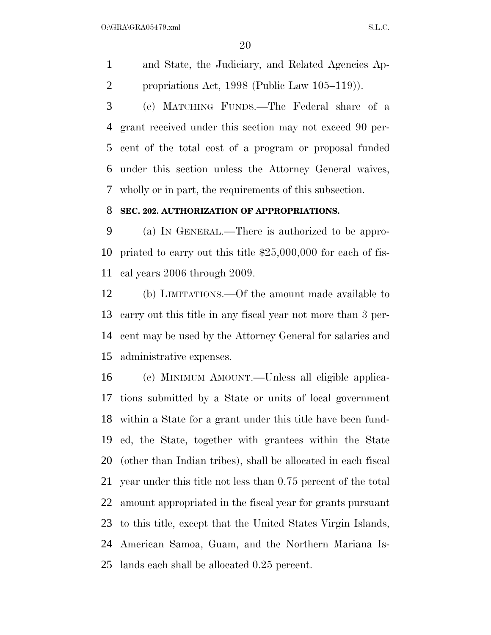$O:\overline{GRA}\setminus GRA$   $SL.C.$ 

 and State, the Judiciary, and Related Agencies Ap-propriations Act, 1998 (Public Law 105–119)).

 (e) MATCHING FUNDS.—The Federal share of a grant received under this section may not exceed 90 per- cent of the total cost of a program or proposal funded under this section unless the Attorney General waives, wholly or in part, the requirements of this subsection.

## **SEC. 202. AUTHORIZATION OF APPROPRIATIONS.**

 (a) IN GENERAL.—There is authorized to be appro- priated to carry out this title \$25,000,000 for each of fis-cal years 2006 through 2009.

 (b) LIMITATIONS.—Of the amount made available to carry out this title in any fiscal year not more than 3 per- cent may be used by the Attorney General for salaries and administrative expenses.

 (c) MINIMUM AMOUNT.—Unless all eligible applica- tions submitted by a State or units of local government within a State for a grant under this title have been fund- ed, the State, together with grantees within the State (other than Indian tribes), shall be allocated in each fiscal year under this title not less than 0.75 percent of the total amount appropriated in the fiscal year for grants pursuant to this title, except that the United States Virgin Islands, American Samoa, Guam, and the Northern Mariana Is-lands each shall be allocated 0.25 percent.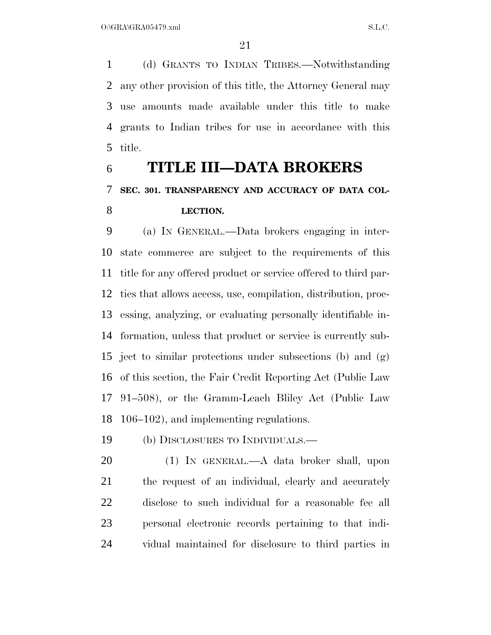(d) GRANTS TO INDIAN TRIBES.—Notwithstanding any other provision of this title, the Attorney General may use amounts made available under this title to make grants to Indian tribes for use in accordance with this title.

# **TITLE III—DATA BROKERS SEC. 301. TRANSPARENCY AND ACCURACY OF DATA COL-LECTION.**

 (a) IN GENERAL.—Data brokers engaging in inter- state commerce are subject to the requirements of this title for any offered product or service offered to third par- ties that allows access, use, compilation, distribution, proc- essing, analyzing, or evaluating personally identifiable in- formation, unless that product or service is currently sub- ject to similar protections under subsections (b) and (g) of this section, the Fair Credit Reporting Act (Public Law 91–508), or the Gramm-Leach Bliley Act (Public Law 106–102), and implementing regulations.

(b) DISCLOSURES TO INDIVIDUALS.—

 (1) IN GENERAL.—A data broker shall, upon the request of an individual, clearly and accurately disclose to such individual for a reasonable fee all personal electronic records pertaining to that indi-vidual maintained for disclosure to third parties in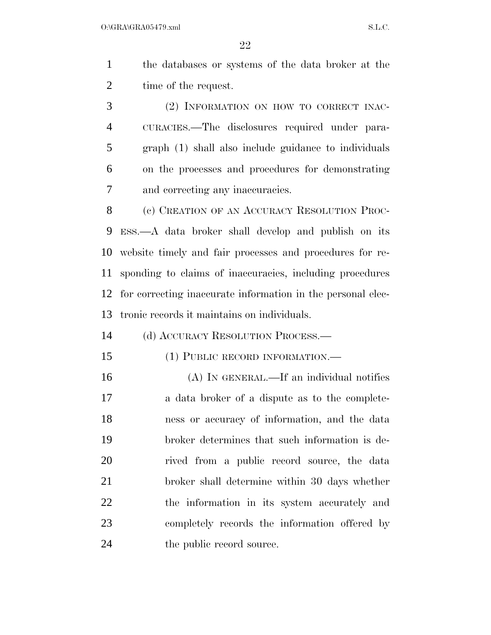the databases or systems of the data broker at the 2 time of the request.

 (2) INFORMATION ON HOW TO CORRECT INAC- CURACIES.—The disclosures required under para- graph (1) shall also include guidance to individuals on the processes and procedures for demonstrating and correcting any inaccuracies.

8 (c) CREATION OF AN ACCURACY RESOLUTION PROC- ESS.—A data broker shall develop and publish on its website timely and fair processes and procedures for re- sponding to claims of inaccuracies, including procedures for correcting inaccurate information in the personal elec-tronic records it maintains on individuals.

(d) ACCURACY RESOLUTION PROCESS.—

- (1) PUBLIC RECORD INFORMATION.—
- (A) IN GENERAL.—If an individual notifies a data broker of a dispute as to the complete- ness or accuracy of information, and the data broker determines that such information is de- rived from a public record source, the data broker shall determine within 30 days whether the information in its system accurately and completely records the information offered by 24 the public record source.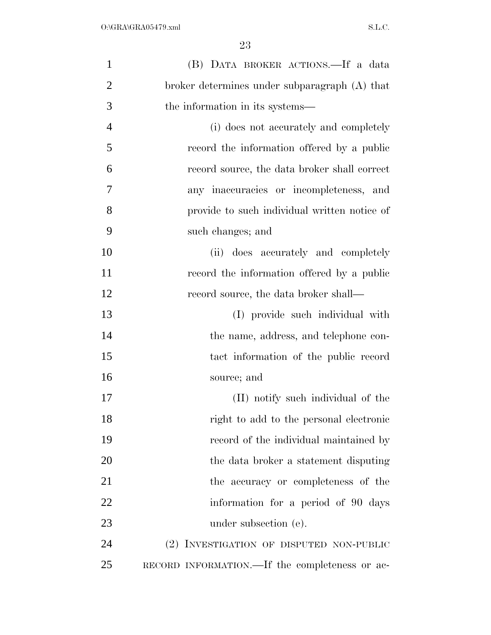| $\mathbf{1}$   | (B) DATA BROKER ACTIONS.—If a data             |
|----------------|------------------------------------------------|
| $\overline{2}$ | broker determines under subparagraph (A) that  |
| 3              | the information in its systems—                |
| $\overline{4}$ | (i) does not accurately and completely         |
| 5              | record the information offered by a public     |
| 6              | record source, the data broker shall correct   |
| 7              | any inaccuracies or incompleteness, and        |
| 8              | provide to such individual written notice of   |
| 9              | such changes; and                              |
| 10             | (ii) does accurately and completely            |
| 11             | record the information offered by a public     |
| 12             | record source, the data broker shall—          |
| 13             | (I) provide such individual with               |
| 14             | the name, address, and telephone con-          |
| 15             | tact information of the public record          |
| 16             | source; and                                    |
| 17             | (II) notify such individual of the             |
| 18             | right to add to the personal electronic        |
| 19             | record of the individual maintained by         |
| 20             | the data broker a statement disputing          |
| 21             | the accuracy or completeness of the            |
| 22             | information for a period of 90 days            |
| 23             | under subsection (e).                          |
| 24             | (2) INVESTIGATION OF DISPUTED NON-PUBLIC       |
| 25             | RECORD INFORMATION.—If the completeness or ac- |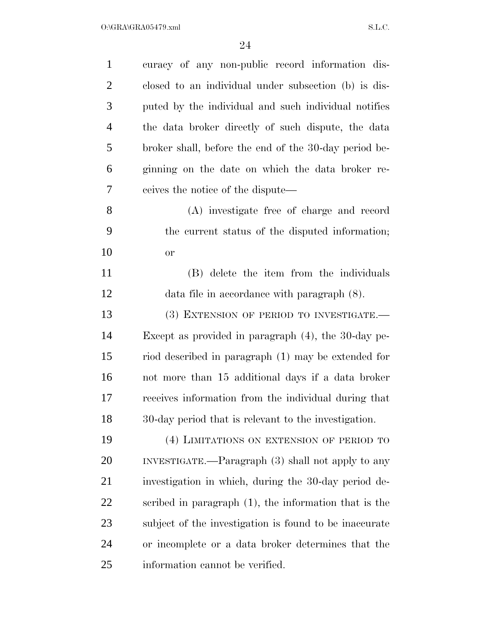$O:\Gamma$ GRA $\Gamma$ GRA05479.xml S.L.C.

| $\mathbf{1}$   | curacy of any non-public record information dis-         |
|----------------|----------------------------------------------------------|
| $\overline{2}$ | closed to an individual under subsection (b) is dis-     |
| 3              | puted by the individual and such individual notifies     |
| $\overline{4}$ | the data broker directly of such dispute, the data       |
| 5              | broker shall, before the end of the 30-day period be-    |
| 6              | ginning on the date on which the data broker re-         |
| 7              | ceives the notice of the dispute—                        |
| 8              | (A) investigate free of charge and record                |
| 9              | the current status of the disputed information;          |
| 10             | <b>or</b>                                                |
| 11             | (B) delete the item from the individuals                 |
| 12             | data file in accordance with paragraph $(8)$ .           |
| 13             | (3) EXTENSION OF PERIOD TO INVESTIGATE.-                 |
| 14             | Except as provided in paragraph $(4)$ , the 30-day pe-   |
| 15             | riod described in paragraph (1) may be extended for      |
| 16             | not more than 15 additional days if a data broker        |
| 17             | receives information from the individual during that     |
| 18             | 30-day period that is relevant to the investigation.     |
| 19             | (4) LIMITATIONS ON EXTENSION OF PERIOD TO                |
| <b>20</b>      | INVESTIGATE.—Paragraph (3) shall not apply to any        |
| 21             | investigation in which, during the 30-day period de-     |
| 22             | scribed in paragraph $(1)$ , the information that is the |
| 23             | subject of the investigation is found to be inaccurate   |
| 24             | or incomplete or a data broker determines that the       |
| 25             | information cannot be verified.                          |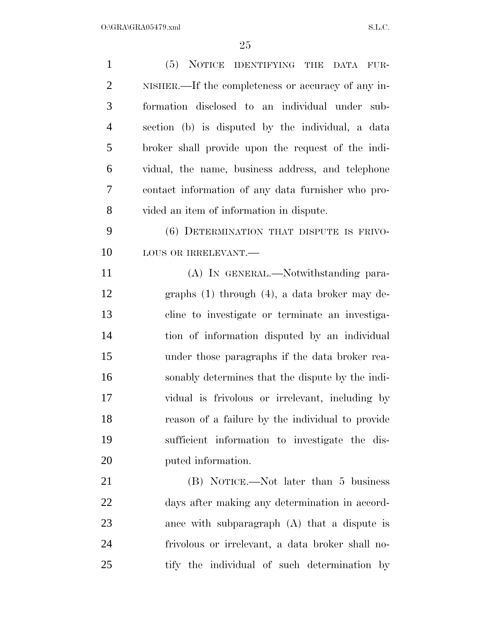| $\mathbf{1}$   | (5) NOTICE IDENTIFYING THE DATA FUR-               |
|----------------|----------------------------------------------------|
| $\overline{2}$ | NISHER.—If the completeness or accuracy of any in- |
| 3              | formation disclosed to an individual under sub-    |
| $\overline{4}$ | section (b) is disputed by the individual, a data  |
| 5              | broker shall provide upon the request of the indi- |
| 6              | vidual, the name, business address, and telephone  |
| $\overline{7}$ | contact information of any data furnisher who pro- |
| 8              | vided an item of information in dispute.           |
| 9              | (6) DETERMINATION THAT DISPUTE IS FRIVO-           |
| 10             | LOUS OR IRRELEVANT.                                |
| 11             | (A) IN GENERAL.—Notwithstanding para-              |
| 12             | graphs $(1)$ through $(4)$ , a data broker may de- |
| 13             | cline to investigate or terminate an investiga-    |
| 14             | tion of information disputed by an individual      |
| 15             | under those paragraphs if the data broker rea-     |
| 16             | sonably determines that the dispute by the indi-   |
| 17             | vidual is frivolous or irrelevant, including by    |
| 18             | reason of a failure by the individual to provide   |
| 19             | sufficient information to investigate the dis-     |
| 20             | puted information.                                 |
| 21             | (B) NOTICE.—Not later than 5 business              |
| 22             | days after making any determination in accord-     |
| 23             | ance with subparagraph $(A)$ that a dispute is     |
| 24             | frivolous or irrelevant, a data broker shall no-   |
| 25             | tify the individual of such determination by       |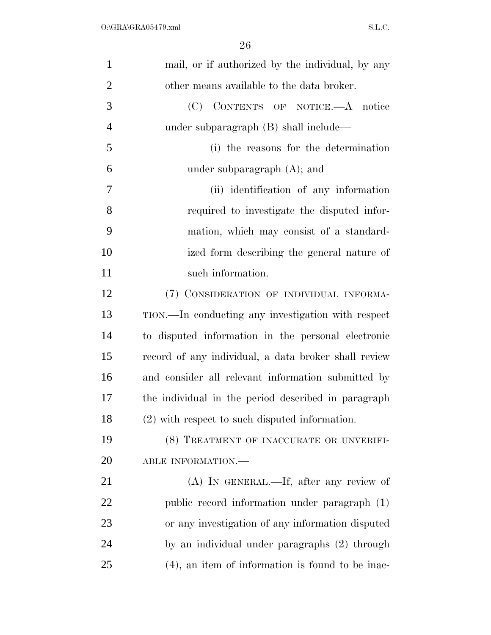| $\mathbf{1}$   | mail, or if authorized by the individual, by any     |
|----------------|------------------------------------------------------|
| $\overline{2}$ | other means available to the data broker.            |
| 3              | (C) CONTENTS OF NOTICE.—A notice                     |
| $\overline{4}$ | under subparagraph $(B)$ shall include—              |
| 5              | (i) the reasons for the determination                |
| 6              | under subparagraph $(A)$ ; and                       |
| 7              | (ii) identification of any information               |
| 8              | required to investigate the disputed infor-          |
| 9              | mation, which may consist of a standard-             |
| 10             | ized form describing the general nature of           |
| 11             | such information.                                    |
| 12             | (7) CONSIDERATION OF INDIVIDUAL INFORMA-             |
| 13             | TION.—In conducting any investigation with respect   |
| 14             | to disputed information in the personal electronic   |
| 15             | record of any individual, a data broker shall review |
| 16             | and consider all relevant information submitted by   |
| 17             | the individual in the period described in paragraph  |
| 18             | (2) with respect to such disputed information.       |
| 19             | (8) TREATMENT OF INACCURATE OR UNVERIFI-             |
| 20             | ABLE INFORMATION.-                                   |
| 21             | (A) IN GENERAL.—If, after any review of              |
| 22             | public record information under paragraph (1)        |
| 23             | or any investigation of any information disputed     |
| 24             | by an individual under paragraphs (2) through        |
| 25             | $(4)$ , an item of information is found to be inac-  |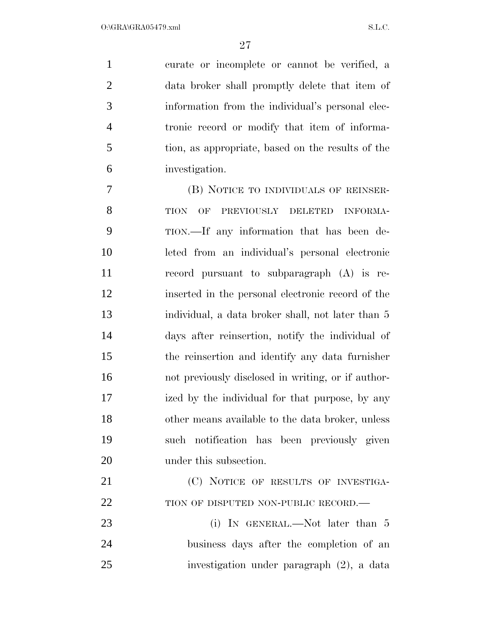curate or incomplete or cannot be verified, a data broker shall promptly delete that item of information from the individual's personal elec- tronic record or modify that item of informa- tion, as appropriate, based on the results of the investigation.

 (B) NOTICE TO INDIVIDUALS OF REINSER-8 TION OF PREVIOUSLY DELETED INFORMA- TION.—If any information that has been de- leted from an individual's personal electronic record pursuant to subparagraph (A) is re- inserted in the personal electronic record of the individual, a data broker shall, not later than 5 days after reinsertion, notify the individual of the reinsertion and identify any data furnisher not previously disclosed in writing, or if author- ized by the individual for that purpose, by any other means available to the data broker, unless such notification has been previously given 20 under this subsection.

21 (C) NOTICE OF RESULTS OF INVESTIGA-22 TION OF DISPUTED NON-PUBLIC RECORD.—

23 (i) In GENERAL.—Not later than 5 business days after the completion of an investigation under paragraph (2), a data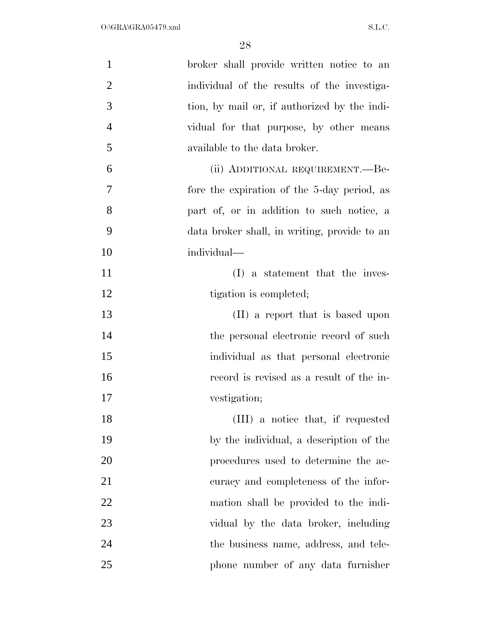| $\mathbf{1}$   | broker shall provide written notice to an    |
|----------------|----------------------------------------------|
| $\overline{2}$ | individual of the results of the investiga-  |
| 3              | tion, by mail or, if authorized by the indi- |
| $\overline{4}$ | vidual for that purpose, by other means      |
| 5              | available to the data broker.                |
| 6              | (ii) ADDITIONAL REQUIREMENT.—Be-             |
| 7              | fore the expiration of the 5-day period, as  |
| 8              | part of, or in addition to such notice, a    |
| 9              | data broker shall, in writing, provide to an |
| 10             | individual—                                  |
| 11             | (I) a statement that the inves-              |
| 12             | tigation is completed;                       |
| 13             | (II) a report that is based upon             |
| 14             | the personal electronic record of such       |
| 15             | individual as that personal electronic       |
| 16             | record is revised as a result of the in-     |
| 17             | vestigation;                                 |
| 18             | (III) a notice that, if requested            |
| 19             | by the individual, a description of the      |
| 20             | procedures used to determine the ac-         |
| 21             | curacy and completeness of the infor-        |
| 22             | mation shall be provided to the indi-        |
| 23             | vidual by the data broker, including         |
| 24             | the business name, address, and tele-        |
| 25             | phone number of any data furnisher           |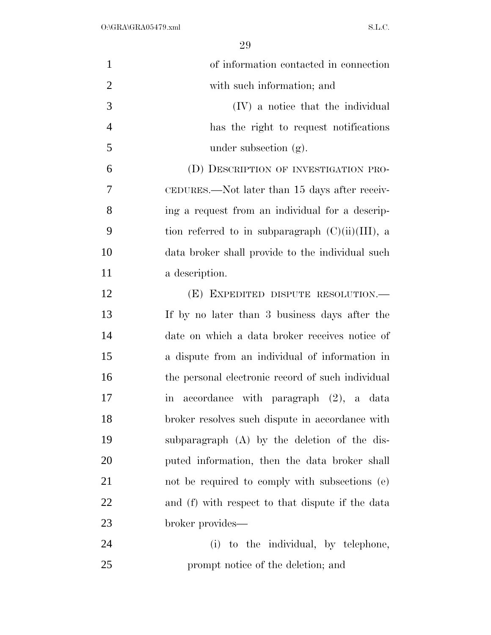| $\mathbf{1}$   | of information contacted in connection              |
|----------------|-----------------------------------------------------|
| $\overline{2}$ | with such information; and                          |
| 3              | (IV) a notice that the individual                   |
| $\overline{4}$ | has the right to request notifications              |
| 5              | under subsection $(g)$ .                            |
| 6              | (D) DESCRIPTION OF INVESTIGATION PRO-               |
| 7              | CEDURES.—Not later than 15 days after receiv-       |
| 8              | ing a request from an individual for a descrip-     |
| 9              | tion referred to in subparagraph $(C)(ii)(III)$ , a |
| 10             | data broker shall provide to the individual such    |
| 11             | a description.                                      |
| 12             | (E) EXPEDITED DISPUTE RESOLUTION.—                  |
| 13             | If by no later than 3 business days after the       |
| 14             | date on which a data broker receives notice of      |
| 15             | a dispute from an individual of information in      |
| 16             | the personal electronic record of such individual   |
| 17             | in accordance with paragraph (2), a data            |
| 18             | broker resolves such dispute in accordance with     |
| 19             | subparagraph (A) by the deletion of the dis-        |
| 20             | puted information, then the data broker shall       |
| 21             | not be required to comply with subsections (e)      |
| 22             | and (f) with respect to that dispute if the data    |
| 23             | broker provides-                                    |
| 24             | (i) to the individual, by telephone,                |
| 25             | prompt notice of the deletion; and                  |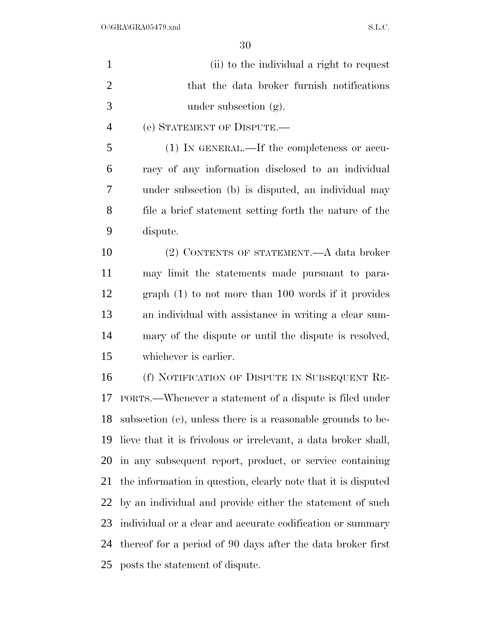| $\mathbf{1}$   | (ii) to the individual a right to request                      |
|----------------|----------------------------------------------------------------|
| $\overline{2}$ | that the data broker furnish notifications                     |
| 3              | under subsection $(g)$ .                                       |
| $\overline{4}$ | (e) STATEMENT OF DISPUTE.                                      |
| 5              | (1) IN GENERAL.—If the completeness or accu-                   |
| 6              | racy of any information disclosed to an individual             |
| 7              | under subsection (b) is disputed, an individual may            |
| 8              | file a brief statement setting forth the nature of the         |
| 9              | dispute.                                                       |
| 10             | (2) CONTENTS OF STATEMENT.—A data broker                       |
| 11             | may limit the statements made pursuant to para-                |
| 12             | $graph(1)$ to not more than 100 words if it provides           |
| 13             | an individual with assistance in writing a clear sum-          |
| 14             | mary of the dispute or until the dispute is resolved,          |
| 15             | whichever is earlier.                                          |
| 16             | (f) NOTIFICATION OF DISPUTE IN SUBSEQUENT RE-                  |
| 17             | PORTS.—Whenever a statement of a dispute is filed under        |
| 18             | subsection (e), unless there is a reasonable grounds to be-    |
| 19             | lieve that it is frivolous or irrelevant, a data broker shall, |
| 20             | in any subsequent report, product, or service containing       |
| 21             | the information in question, clearly note that it is disputed  |
| 22             | by an individual and provide either the statement of such      |
| 23             | individual or a clear and accurate codification or summary     |
| 24             | thereof for a period of 90 days after the data broker first    |
| 25             | posts the statement of dispute.                                |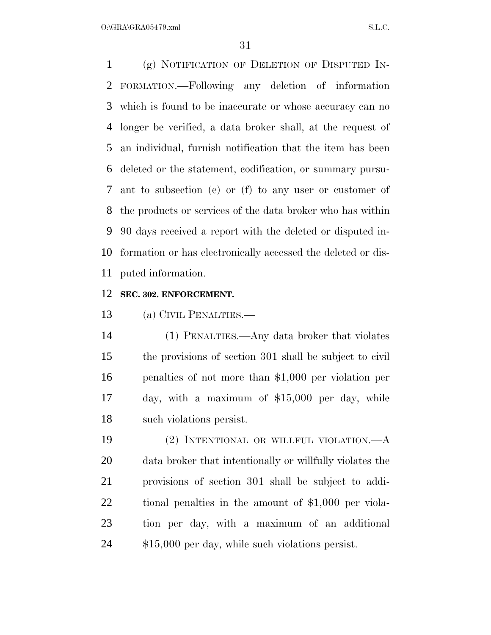$O:\overline{GRA}\setminus GRA$   $SL.C.$ 

 (g) NOTIFICATION OF DELETION OF DISPUTED IN- FORMATION.—Following any deletion of information which is found to be inaccurate or whose accuracy can no longer be verified, a data broker shall, at the request of an individual, furnish notification that the item has been deleted or the statement, codification, or summary pursu- ant to subsection (e) or (f) to any user or customer of the products or services of the data broker who has within 90 days received a report with the deleted or disputed in- formation or has electronically accessed the deleted or dis-puted information.

## **SEC. 302. ENFORCEMENT.**

(a) CIVIL PENALTIES.—

 (1) PENALTIES.—Any data broker that violates the provisions of section 301 shall be subject to civil penalties of not more than \$1,000 per violation per day, with a maximum of \$15,000 per day, while such violations persist.

 (2) INTENTIONAL OR WILLFUL VIOLATION.—A data broker that intentionally or willfully violates the provisions of section 301 shall be subject to addi- tional penalties in the amount of \$1,000 per viola- tion per day, with a maximum of an additional \$15,000 per day, while such violations persist.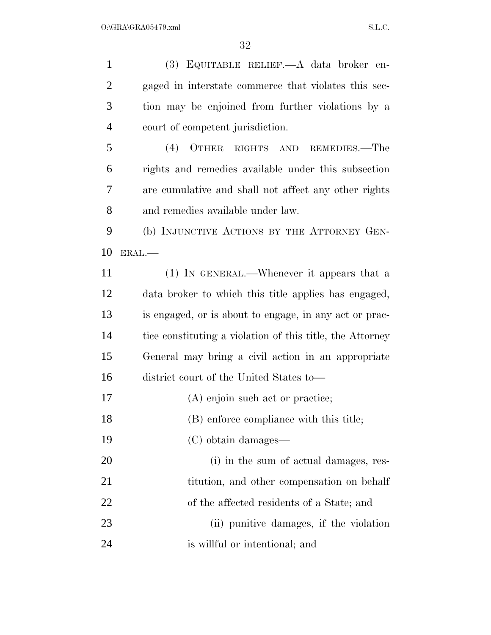(3) EQUITABLE RELIEF.—A data broker en- gaged in interstate commerce that violates this sec- tion may be enjoined from further violations by a court of competent jurisdiction. (4) OTHER RIGHTS AND REMEDIES.—The rights and remedies available under this subsection are cumulative and shall not affect any other rights and remedies available under law. (b) INJUNCTIVE ACTIONS BY THE ATTORNEY GEN- ERAL.— (1) IN GENERAL.—Whenever it appears that a data broker to which this title applies has engaged, is engaged, or is about to engage, in any act or prac- tice constituting a violation of this title, the Attorney General may bring a civil action in an appropriate district court of the United States to— 17 (A) enjoin such act or practice; 18 (B) enforce compliance with this title; (C) obtain damages— (i) in the sum of actual damages, res-21 titution, and other compensation on behalf of the affected residents of a State; and (ii) punitive damages, if the violation is willful or intentional; and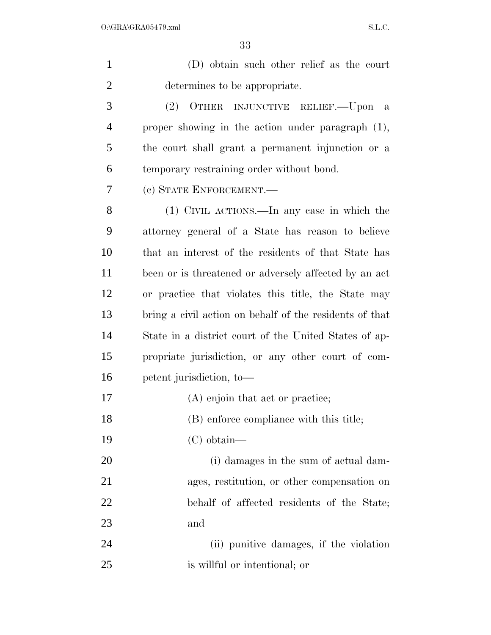| $\mathbf{1}$   | (D) obtain such other relief as the court               |
|----------------|---------------------------------------------------------|
| $\overline{2}$ | determines to be appropriate.                           |
| 3              | (2)<br>OTHER INJUNCTIVE RELIEF.—Upon a                  |
| $\overline{4}$ | proper showing in the action under paragraph $(1)$ ,    |
| 5              | the court shall grant a permanent injunction or a       |
| 6              | temporary restraining order without bond.               |
| 7              | (c) STATE ENFORCEMENT.—                                 |
| 8              | (1) CIVIL ACTIONS.—In any case in which the             |
| 9              | attorney general of a State has reason to believe       |
| 10             | that an interest of the residents of that State has     |
| 11             | been or is threatened or adversely affected by an act   |
| 12             | or practice that violates this title, the State may     |
| 13             | bring a civil action on behalf of the residents of that |
| 14             | State in a district court of the United States of ap-   |
| 15             | propriate jurisdiction, or any other court of com-      |
| 16             | petent jurisdiction, to-                                |
| 17             | (A) enjoin that act or practice;                        |
| 18             | (B) enforce compliance with this title;                 |
| 19             | $(C)$ obtain—                                           |
| 20             | (i) damages in the sum of actual dam-                   |
| 21             | ages, restitution, or other compensation on             |
| 22             | behalf of affected residents of the State;              |
| 23             | and                                                     |
| 24             | (ii) punitive damages, if the violation                 |
| 25             | is willful or intentional; or                           |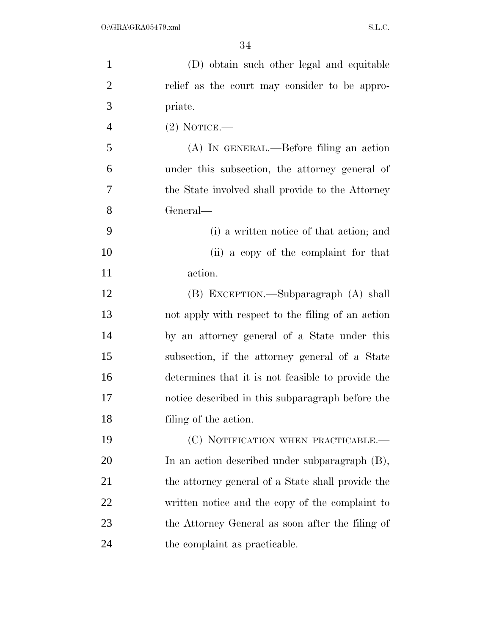| $\mathbf{1}$   | (D) obtain such other legal and equitable         |
|----------------|---------------------------------------------------|
| $\overline{2}$ | relief as the court may consider to be appro-     |
| 3              | priate.                                           |
| $\overline{4}$ | $(2)$ NOTICE.—                                    |
| 5              | (A) IN GENERAL.—Before filing an action           |
| 6              | under this subsection, the attorney general of    |
| 7              | the State involved shall provide to the Attorney  |
| 8              | General—                                          |
| 9              | (i) a written notice of that action; and          |
| 10             | (ii) a copy of the complaint for that             |
| 11             | action.                                           |
| 12             | (B) EXCEPTION.—Subparagraph (A) shall             |
| 13             | not apply with respect to the filing of an action |
| 14             | by an attorney general of a State under this      |
| 15             | subsection, if the attorney general of a State    |
| 16             | determines that it is not feasible to provide the |
| 17             | notice described in this subparagraph before the  |
| 18             | filing of the action.                             |
| 19             | (C) NOTIFICATION WHEN PRACTICABLE.—               |
| 20             | In an action described under subparagraph (B),    |
| 21             | the attorney general of a State shall provide the |
| 22             | written notice and the copy of the complaint to   |
| 23             | the Attorney General as soon after the filing of  |
| 24             | the complaint as practicable.                     |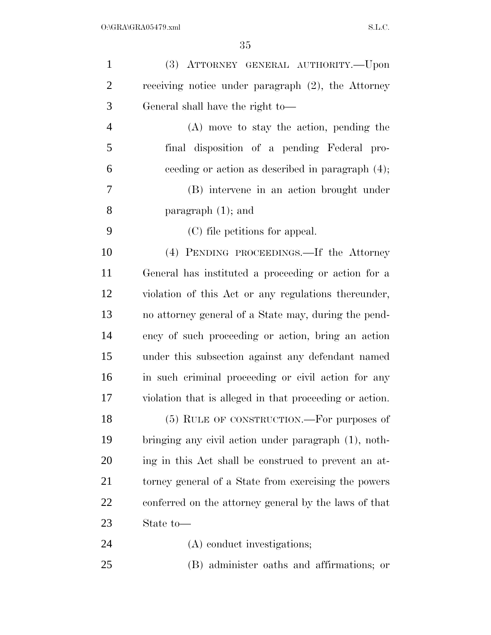| $\mathbf{1}$   | (3) ATTORNEY GENERAL AUTHORITY.--Upon                   |
|----------------|---------------------------------------------------------|
| $\overline{2}$ | receiving notice under paragraph $(2)$ , the Attorney   |
| 3              | General shall have the right to-                        |
| $\overline{4}$ | (A) move to stay the action, pending the                |
| 5              | final disposition of a pending Federal pro-             |
| 6              | ceeding or action as described in paragraph $(4)$ ;     |
| 7              | (B) intervene in an action brought under                |
| 8              | paragraph $(1)$ ; and                                   |
| 9              | (C) file petitions for appeal.                          |
| 10             | (4) PENDING PROCEEDINGS.—If the Attorney                |
| 11             | General has instituted a proceeding or action for a     |
| 12             | violation of this Act or any regulations thereunder,    |
| 13             | no attorney general of a State may, during the pend-    |
| 14             | ency of such proceeding or action, bring an action      |
| 15             | under this subsection against any defendant named       |
| 16             | in such criminal proceeding or civil action for any     |
| 17             | violation that is alleged in that proceeding or action. |
| 18             | (5) RULE OF CONSTRUCTION.—For purposes of               |
| 19             | bringing any civil action under paragraph (1), noth-    |
| 20             | ing in this Act shall be construed to prevent an at-    |
| 21             | torney general of a State from exercising the powers    |
| 22             | conferred on the attorney general by the laws of that   |
| 23             | State to-                                               |
| 24             | (A) conduct investigations;                             |
| 25             | (B) administer oaths and affirmations; or               |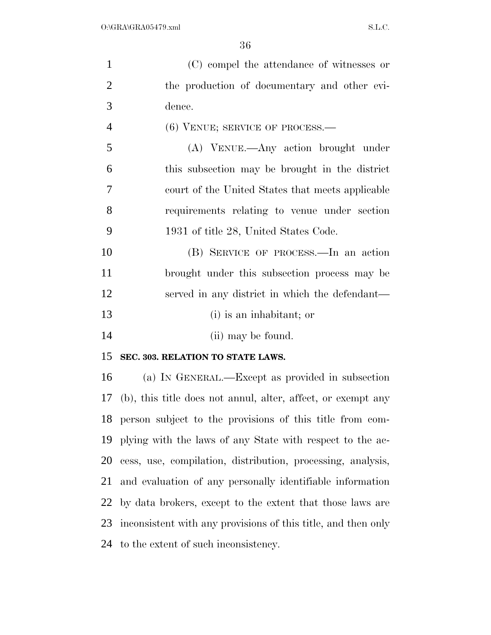| $\mathbf{1}$   | (C) compel the attendance of witnesses or                     |
|----------------|---------------------------------------------------------------|
| $\overline{2}$ | the production of documentary and other evi-                  |
| 3              | dence.                                                        |
| $\overline{4}$ | $(6)$ VENUE; SERVICE OF PROCESS.—                             |
| 5              | (A) VENUE.—Any action brought under                           |
| 6              | this subsection may be brought in the district                |
| 7              | court of the United States that meets applicable              |
| 8              | requirements relating to venue under section                  |
| 9              | 1931 of title 28, United States Code.                         |
| 10             | (B) SERVICE OF PROCESS.—In an action                          |
| 11             | brought under this subsection process may be                  |
| 12             | served in any district in which the defendant—                |
| 13             | (i) is an inhabitant; or                                      |
| 14             | (ii) may be found.                                            |
| 15             | SEC. 303. RELATION TO STATE LAWS.                             |
| 16             | (a) IN GENERAL.—Except as provided in subsection              |
| 17             | (b), this title does not annul, alter, affect, or exempt any  |
| 18             | person subject to the provisions of this title from com-      |
| 19             | plying with the laws of any State with respect to the ac-     |
| 20             | cess, use, compilation, distribution, processing, analysis,   |
| 21             | and evaluation of any personally identifiable information     |
| 22             | by data brokers, except to the extent that those laws are     |
| 23             | inconsistent with any provisions of this title, and then only |
| 24             | to the extent of such inconsistency.                          |
|                |                                                               |
|                |                                                               |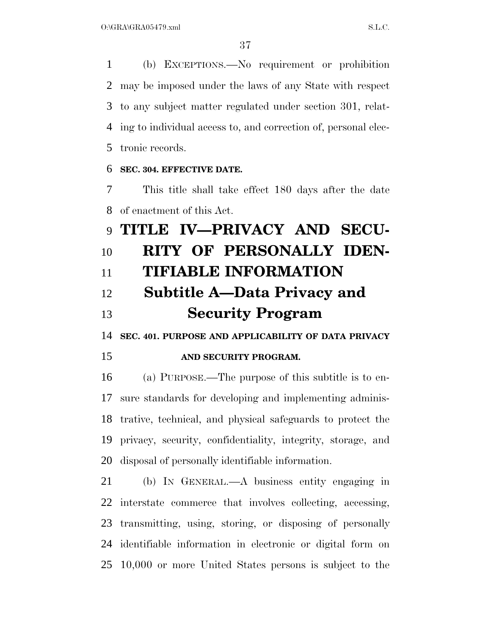(b) EXCEPTIONS.—No requirement or prohibition may be imposed under the laws of any State with respect to any subject matter regulated under section 301, relat- ing to individual access to, and correction of, personal elec-tronic records.

#### **SEC. 304. EFFECTIVE DATE.**

 This title shall take effect 180 days after the date of enactment of this Act.

# **TITLE IV—PRIVACY AND SECU- RITY OF PERSONALLY IDEN- TIFIABLE INFORMATION Subtitle A—Data Privacy and Security Program**

**SEC. 401. PURPOSE AND APPLICABILITY OF DATA PRIVACY** 

#### **AND SECURITY PROGRAM.**

 (a) PURPOSE.—The purpose of this subtitle is to en- sure standards for developing and implementing adminis- trative, technical, and physical safeguards to protect the privacy, security, confidentiality, integrity, storage, and disposal of personally identifiable information.

 (b) IN GENERAL.—A business entity engaging in interstate commerce that involves collecting, accessing, transmitting, using, storing, or disposing of personally identifiable information in electronic or digital form on 10,000 or more United States persons is subject to the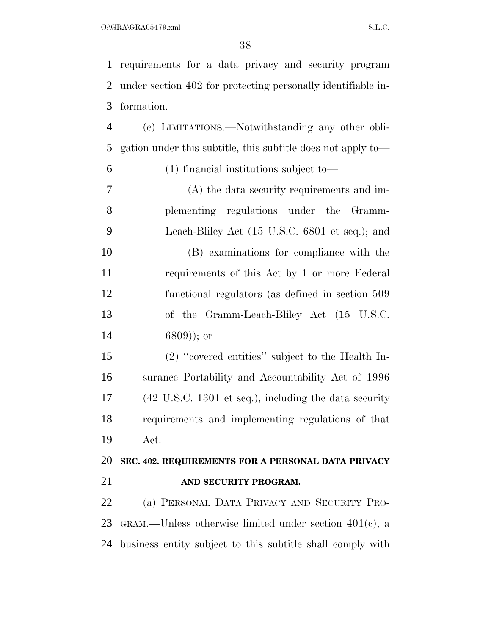requirements for a data privacy and security program under section 402 for protecting personally identifiable in-formation.

 (c) LIMITATIONS.—Notwithstanding any other obli-gation under this subtitle, this subtitle does not apply to—

#### (1) financial institutions subject to—

 (A) the data security requirements and im- plementing regulations under the Gramm- Leach-Bliley Act (15 U.S.C. 6801 et seq.); and (B) examinations for compliance with the requirements of this Act by 1 or more Federal functional regulators (as defined in section 509 of the Gramm-Leach-Bliley Act (15 U.S.C. 6809)); or

 (2) ''covered entities'' subject to the Health In- surance Portability and Accountability Act of 1996 (42 U.S.C. 1301 et seq.), including the data security requirements and implementing regulations of that Act.

 **SEC. 402. REQUIREMENTS FOR A PERSONAL DATA PRIVACY AND SECURITY PROGRAM.** 

 (a) PERSONAL DATA PRIVACY AND SECURITY PRO- GRAM.—Unless otherwise limited under section 401(c), a business entity subject to this subtitle shall comply with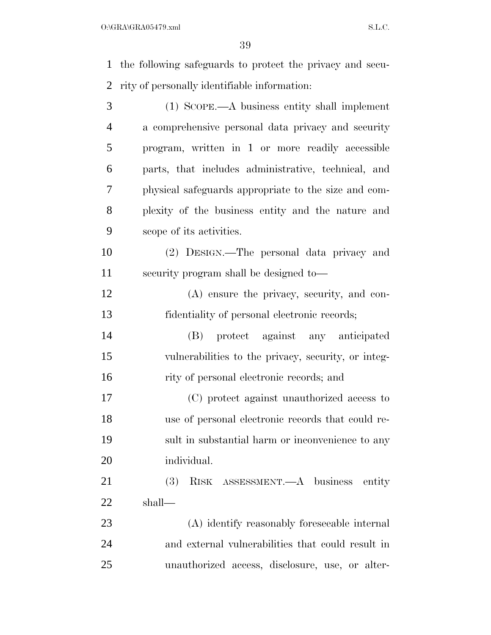the following safeguards to protect the privacy and secu-

| 2              | rity of personally identifiable information:         |
|----------------|------------------------------------------------------|
| 3              | $(1)$ SCOPE.—A business entity shall implement       |
| $\overline{4}$ | a comprehensive personal data privacy and security   |
| 5              | program, written in 1 or more readily accessible     |
| 6              | parts, that includes administrative, technical, and  |
| 7              | physical safeguards appropriate to the size and com- |
| 8              | plexity of the business entity and the nature and    |
| 9              | scope of its activities.                             |
| 10             | (2) DESIGN.—The personal data privacy and            |
| 11             | security program shall be designed to—               |
| 12             | (A) ensure the privacy, security, and con-           |
| 13             | fidentiality of personal electronic records;         |
| 14             | protect against any anticipated<br>(B)               |
| 15             | vulnerabilities to the privacy, security, or integ-  |
| 16             | rity of personal electronic records; and             |
| 17             | (C) protect against unauthorized access to           |
| 18             | use of personal electronic records that could re-    |
| 19             | sult in substantial harm or inconvenience to any     |
| 20             | individual.                                          |
| 21             | (3)<br>RISK ASSESSMENT.—A business<br>entity         |
| 22             | shall—                                               |
| 23             | (A) identify reasonably foreseeable internal         |
| 24             | and external vulnerabilities that could result in    |

unauthorized access, disclosure, use, or alter-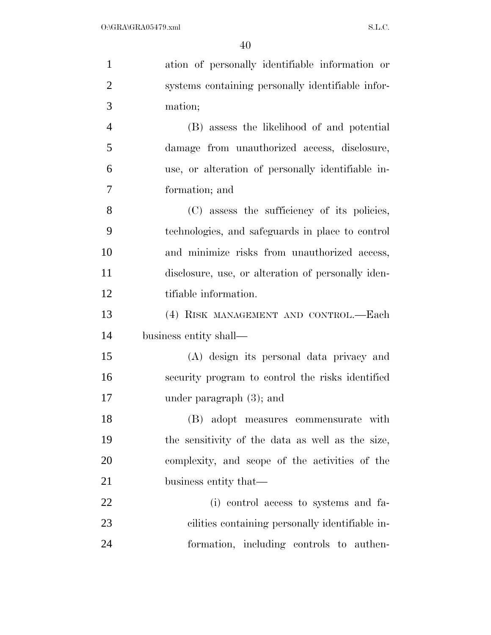| $\mathbf{1}$   | ation of personally identifiable information or    |
|----------------|----------------------------------------------------|
| $\overline{2}$ | systems containing personally identifiable infor-  |
| 3              | mation;                                            |
| $\overline{4}$ | (B) assess the likelihood of and potential         |
| 5              | damage from unauthorized access, disclosure,       |
| 6              | use, or alteration of personally identifiable in-  |
| $\overline{7}$ | formation; and                                     |
| 8              | (C) assess the sufficiency of its policies,        |
| 9              | technologies, and safeguards in place to control   |
| 10             | and minimize risks from unauthorized access,       |
| 11             | disclosure, use, or alteration of personally iden- |
| 12             | tifiable information.                              |
| 13             | (4) RISK MANAGEMENT AND CONTROL.-Each              |
| 14             | business entity shall—                             |
| 15             | (A) design its personal data privacy and           |
| 16             | security program to control the risks identified   |
| 17             | under paragraph $(3)$ ; and                        |
| 18             | (B) adopt measures commensurate with               |
| 19             | the sensitivity of the data as well as the size,   |
| 20             | complexity, and scope of the activities of the     |
| 21             | business entity that—                              |
| 22             | (i) control access to systems and fa-              |
| 23             | cilities containing personally identifiable in-    |
| 24             | formation, including controls to authen-           |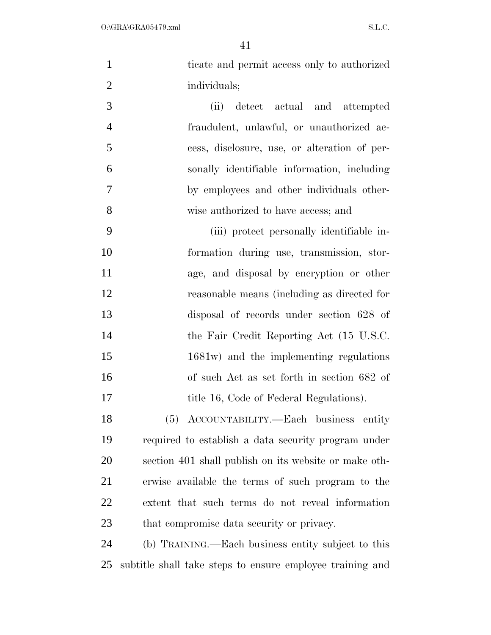| $\mathbf{1}$   | ticate and permit access only to authorized               |
|----------------|-----------------------------------------------------------|
| $\overline{c}$ | individuals;                                              |
| 3              | detect actual and attempted<br>(ii)                       |
| $\overline{4}$ | fraudulent, unlawful, or unauthorized ac-                 |
| 5              | cess, disclosure, use, or alteration of per-              |
| 6              | sonally identifiable information, including               |
| 7              | by employees and other individuals other-                 |
| 8              | wise authorized to have access; and                       |
| 9              | (iii) protect personally identifiable in-                 |
| 10             | formation during use, transmission, stor-                 |
| 11             | age, and disposal by eneryption or other                  |
| 12             | reasonable means (including as directed for               |
| 13             | disposal of records under section 628 of                  |
| 14             | the Fair Credit Reporting Act (15 U.S.C.                  |
| 15             | 1681w) and the implementing regulations                   |
| 16             | of such Act as set forth in section 682 of                |
| 17             | title 16, Code of Federal Regulations).                   |
| 18             | (5) ACCOUNTABILITY.—Each business entity                  |
| 19             | required to establish a data security program under       |
| 20             | section 401 shall publish on its website or make oth-     |
| 21             | erwise available the terms of such program to the         |
| 22             | extent that such terms do not reveal information          |
| 23             | that compromise data security or privacy.                 |
| 24             | (b) TRAINING.—Each business entity subject to this        |
| 25             | subtitle shall take steps to ensure employee training and |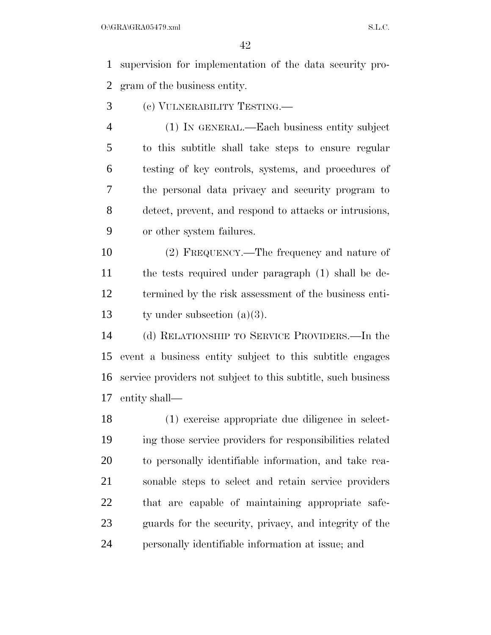supervision for implementation of the data security pro-gram of the business entity.

- (c) VULNERABILITY TESTING.—
- (1) IN GENERAL.—Each business entity subject to this subtitle shall take steps to ensure regular testing of key controls, systems, and procedures of the personal data privacy and security program to detect, prevent, and respond to attacks or intrusions, or other system failures.

 (2) FREQUENCY.—The frequency and nature of the tests required under paragraph (1) shall be de- termined by the risk assessment of the business enti-ty under subsection (a)(3).

 (d) RELATIONSHIP TO SERVICE PROVIDERS.—In the event a business entity subject to this subtitle engages service providers not subject to this subtitle, such business entity shall—

 (1) exercise appropriate due diligence in select- ing those service providers for responsibilities related to personally identifiable information, and take rea- sonable steps to select and retain service providers that are capable of maintaining appropriate safe- guards for the security, privacy, and integrity of the personally identifiable information at issue; and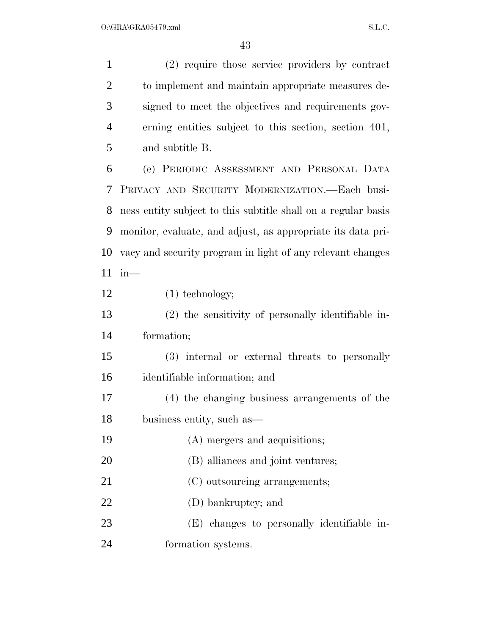| $\mathbf{1}$   | (2) require those service providers by contract               |
|----------------|---------------------------------------------------------------|
| $\overline{2}$ | to implement and maintain appropriate measures de-            |
| 3              | signed to meet the objectives and requirements gov-           |
| $\overline{4}$ | erning entities subject to this section, section 401,         |
| 5              | and subtitle B.                                               |
| 6              | (e) PERIODIC ASSESSMENT AND PERSONAL DATA                     |
| 7              | PRIVACY AND SECURITY MODERNIZATION.-Each busi-                |
| 8              | ness entity subject to this subtitle shall on a regular basis |
| 9              | monitor, evaluate, and adjust, as appropriate its data pri-   |
| 10             | vacy and security program in light of any relevant changes    |
| 11             | in—                                                           |
| 12             | $(1)$ technology;                                             |
| 13             | (2) the sensitivity of personally identifiable in-            |
| 14             | formation;                                                    |
| 15             | (3) internal or external threats to personally                |
| 16             | identifiable information; and                                 |
| 17             | (4) the changing business arrangements of the                 |
| 18             | business entity, such as                                      |
| 19             | (A) mergers and acquisitions;                                 |
| 20             | (B) alliances and joint ventures;                             |
| 21             | (C) outsourcing arrangements;                                 |
| 22             | (D) bankruptcy; and                                           |
| 23             | (E) changes to personally identifiable in-                    |
| 24             | formation systems.                                            |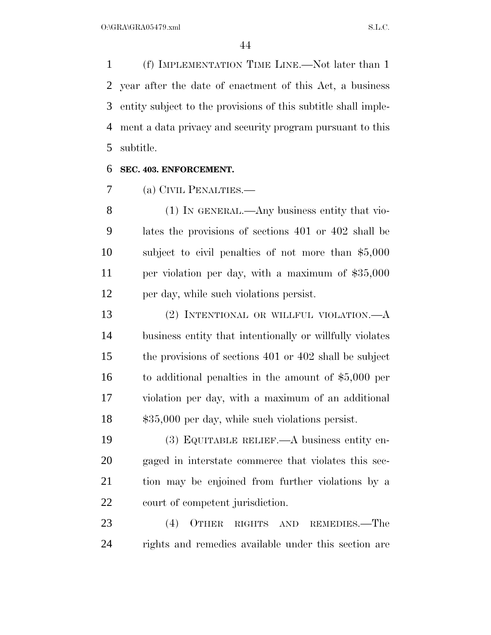(f) IMPLEMENTATION TIME LINE.—Not later than 1 year after the date of enactment of this Act, a business entity subject to the provisions of this subtitle shall imple- ment a data privacy and security program pursuant to this subtitle.

#### **SEC. 403. ENFORCEMENT.**

(a) CIVIL PENALTIES.—

8 (1) IN GENERAL.—Any business entity that vio- lates the provisions of sections 401 or 402 shall be subject to civil penalties of not more than \$5,000 per violation per day, with a maximum of \$35,000 per day, while such violations persist.

 (2) INTENTIONAL OR WILLFUL VIOLATION.—A business entity that intentionally or willfully violates the provisions of sections 401 or 402 shall be subject to additional penalties in the amount of \$5,000 per violation per day, with a maximum of an additional \$35,000 per day, while such violations persist.

 (3) EQUITABLE RELIEF.—A business entity en- gaged in interstate commerce that violates this sec- tion may be enjoined from further violations by a court of competent jurisdiction.

 (4) OTHER RIGHTS AND REMEDIES.—The rights and remedies available under this section are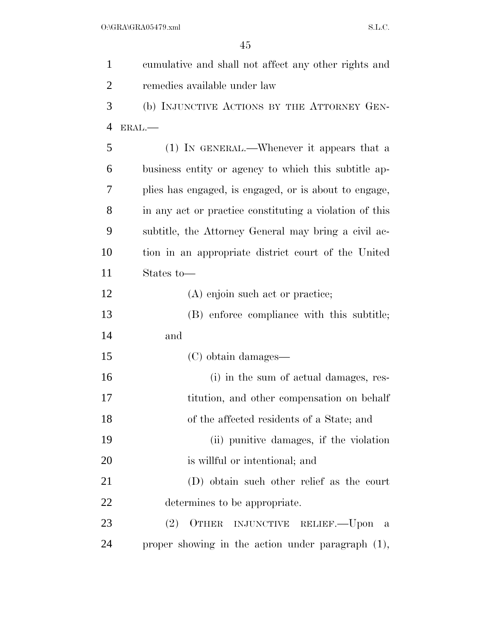| $\mathbf{1}$   | eumulative and shall not affect any other rights and    |
|----------------|---------------------------------------------------------|
| $\overline{2}$ | remedies available under law                            |
| 3              | (b) INJUNCTIVE ACTIONS BY THE ATTORNEY GEN-             |
| $\overline{4}$ | ERAL.-                                                  |
| 5              | (1) IN GENERAL.—Whenever it appears that a              |
| 6              | business entity or agency to which this subtitle ap-    |
| 7              | plies has engaged, is engaged, or is about to engage,   |
| 8              | in any act or practice constituting a violation of this |
| 9              | subtitle, the Attorney General may bring a civil ac-    |
| 10             | tion in an appropriate district court of the United     |
| 11             | States to-                                              |
| 12             | (A) enjoin such act or practice;                        |
| 13             | (B) enforce compliance with this subtitle;              |
| 14             | and                                                     |
| 15             | (C) obtain damages—                                     |
| 16             | (i) in the sum of actual damages, res-                  |
| 17             | titution, and other compensation on behalf              |
| 18             | of the affected residents of a State; and               |
| 19             | (ii) punitive damages, if the violation                 |
| 20             | is will ful or intentional; and                         |
| 21             | (D) obtain such other relief as the court               |
| 22             | determines to be appropriate.                           |
| 23             | (2)<br>OTHER INJUNCTIVE RELIEF. - Upon<br>- a           |
| 24             | proper showing in the action under paragraph $(1)$ ,    |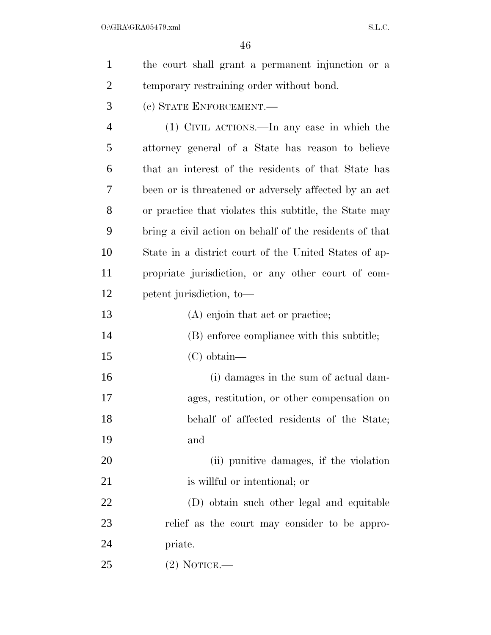| $\mathbf{1}$   | the court shall grant a permanent injunction or a       |
|----------------|---------------------------------------------------------|
| $\overline{2}$ | temporary restraining order without bond.               |
| 3              | (c) STATE ENFORCEMENT.                                  |
| $\overline{4}$ | (1) CIVIL ACTIONS.—In any case in which the             |
| 5              | attorney general of a State has reason to believe       |
| 6              | that an interest of the residents of that State has     |
| 7              | been or is threatened or adversely affected by an act   |
| 8              | or practice that violates this subtitle, the State may  |
| 9              | bring a civil action on behalf of the residents of that |
| 10             | State in a district court of the United States of ap-   |
| 11             | propriate jurisdiction, or any other court of com-      |
| 12             | petent jurisdiction, to-                                |
| 13             | (A) enjoin that act or practice;                        |
| 14             | (B) enforce compliance with this subtitle;              |
| 15             | $(C)$ obtain—                                           |
| 16             | (i) damages in the sum of actual dam-                   |
| 17             | ages, restitution, or other compensation on             |
| 18             | behalf of affected residents of the State;              |
| 19             | and                                                     |
| 20             | (ii) punitive damages, if the violation                 |
| 21             | is willful or intentional; or                           |
| 22             | (D) obtain such other legal and equitable               |
| 23             | relief as the court may consider to be appro-           |
| 24             | priate.                                                 |
| 25             | $(2)$ NOTICE.—                                          |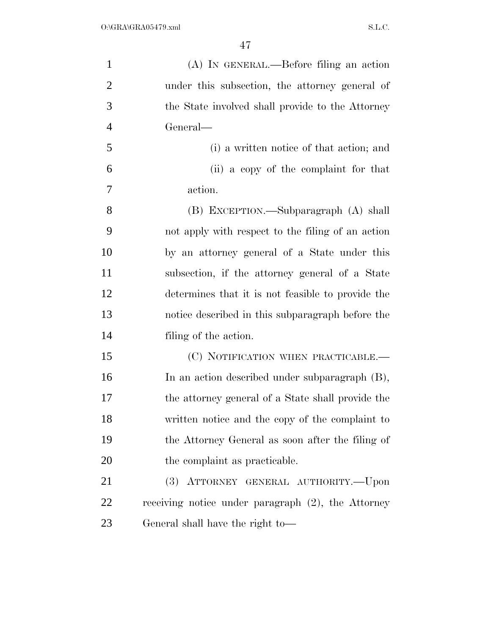| $\mathbf{1}$   | (A) IN GENERAL.—Before filing an action               |
|----------------|-------------------------------------------------------|
| $\overline{2}$ | under this subsection, the attorney general of        |
| 3              | the State involved shall provide to the Attorney      |
| $\overline{4}$ | General—                                              |
| 5              | (i) a written notice of that action; and              |
| 6              | (ii) a copy of the complaint for that                 |
| 7              | action.                                               |
| 8              | (B) EXCEPTION.—Subparagraph (A) shall                 |
| 9              | not apply with respect to the filing of an action     |
| 10             | by an attorney general of a State under this          |
| 11             | subsection, if the attorney general of a State        |
| 12             | determines that it is not feasible to provide the     |
| 13             | notice described in this subparagraph before the      |
| 14             | filing of the action.                                 |
| 15             | (C) NOTIFICATION WHEN PRACTICABLE.—                   |
| 16             | In an action described under subparagraph (B),        |
| 17             | the attorney general of a State shall provide the     |
| 18             | written notice and the copy of the complaint to       |
| 19             | the Attorney General as soon after the filing of      |
| 20             | the complaint as practicable.                         |
| 21             | (3) ATTORNEY GENERAL AUTHORITY.--Upon                 |
| 22             | receiving notice under paragraph $(2)$ , the Attorney |
| 23             | General shall have the right to-                      |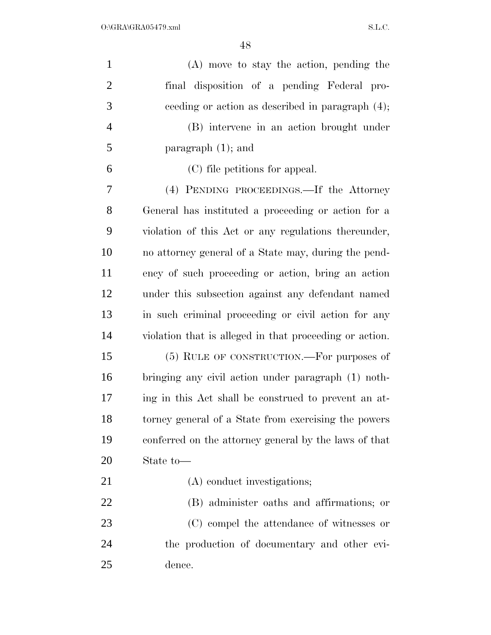| $\mathbf{1}$   | $(A)$ move to stay the action, pending the              |
|----------------|---------------------------------------------------------|
| $\overline{2}$ | final disposition of a pending Federal pro-             |
| 3              | ceeding or action as described in paragraph $(4)$ ;     |
| $\overline{4}$ | (B) intervene in an action brought under                |
| 5              | paragraph $(1)$ ; and                                   |
| 6              | (C) file petitions for appeal.                          |
| $\overline{7}$ | (4) PENDING PROCEEDINGS.—If the Attorney                |
| 8              | General has instituted a proceeding or action for a     |
| 9              | violation of this Act or any regulations thereunder,    |
| 10             | no attorney general of a State may, during the pend-    |
| 11             | ency of such proceeding or action, bring an action      |
| 12             | under this subsection against any defendant named       |
| 13             | in such criminal proceeding or civil action for any     |
| 14             | violation that is alleged in that proceeding or action. |
| 15             | (5) RULE OF CONSTRUCTION.—For purposes of               |
| 16             | bringing any civil action under paragraph (1) noth-     |
| 17             | ing in this Act shall be construed to prevent an at-    |
| 18             | torney general of a State from exercising the powers    |
| 19             | conferred on the attorney general by the laws of that   |
| 20             | State to-                                               |
| 21             | (A) conduct investigations;                             |
| 22             | (B) administer oaths and affirmations; or               |
| 23             | (C) compel the attendance of witnesses or               |
| 24             | the production of documentary and other evi-            |
| 25             | dence.                                                  |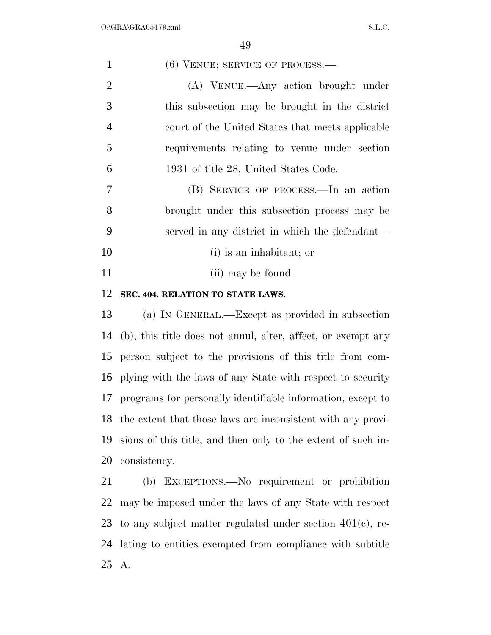| (6) VENUE; SERVICE OF PROCESS.-                                |
|----------------------------------------------------------------|
| (A) VENUE.—Any action brought under                            |
| this subsection may be brought in the district                 |
| court of the United States that meets applicable               |
| requirements relating to venue under section                   |
| 1931 of title 28, United States Code.                          |
| (B) SERVICE OF PROCESS.—In an action                           |
| brought under this subsection process may be                   |
| served in any district in which the defendant—                 |
| (i) is an inhabitant; or                                       |
| (ii) may be found.                                             |
| SEC. 404. RELATION TO STATE LAWS.                              |
| (a) IN GENERAL.—Except as provided in subsection               |
| (b), this title does not annul, alter, affect, or exempt any   |
| person subject to the provisions of this title from com-       |
| plying with the laws of any State with respect to security     |
| 17 programs for personally identifiable information, except to |
| the extent that those laws are inconsistent with any provi-    |
| sions of this title, and then only to the extent of such in-   |
| consistency.                                                   |
| (b) EXCEPTIONS.—No requirement or prohibition                  |
| may be imposed under the laws of any State with respect        |
| to any subject matter regulated under section $401(c)$ , re-   |
| lating to entities exempted from compliance with subtitle      |
|                                                                |

A.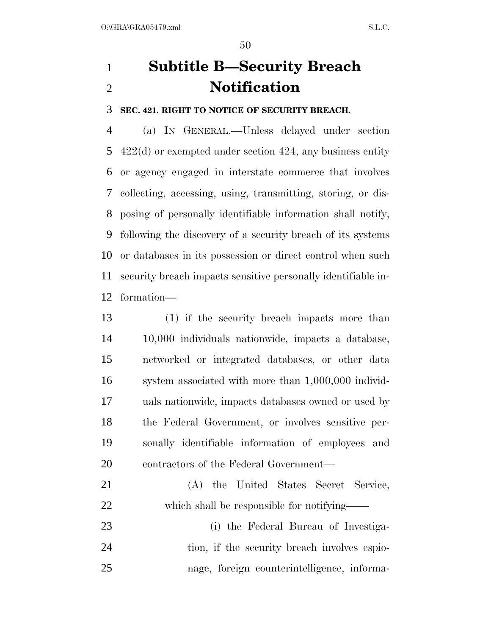## **Subtitle B—Security Breach Notification**

**SEC. 421. RIGHT TO NOTICE OF SECURITY BREACH.** 

 (a) IN GENERAL.—Unless delayed under section 422(d) or exempted under section 424, any business entity or agency engaged in interstate commerce that involves collecting, accessing, using, transmitting, storing, or dis- posing of personally identifiable information shall notify, following the discovery of a security breach of its systems or databases in its possession or direct control when such security breach impacts sensitive personally identifiable in-formation—

 (1) if the security breach impacts more than 10,000 individuals nationwide, impacts a database, networked or integrated databases, or other data system associated with more than 1,000,000 individ- uals nationwide, impacts databases owned or used by the Federal Government, or involves sensitive per- sonally identifiable information of employees and 20 contractors of the Federal Government—

- (A) the United States Secret Service, 22 which shall be responsible for notifying——
- (i) the Federal Bureau of Investiga-24 tion, if the security breach involves espio-nage, foreign counterintelligence, informa-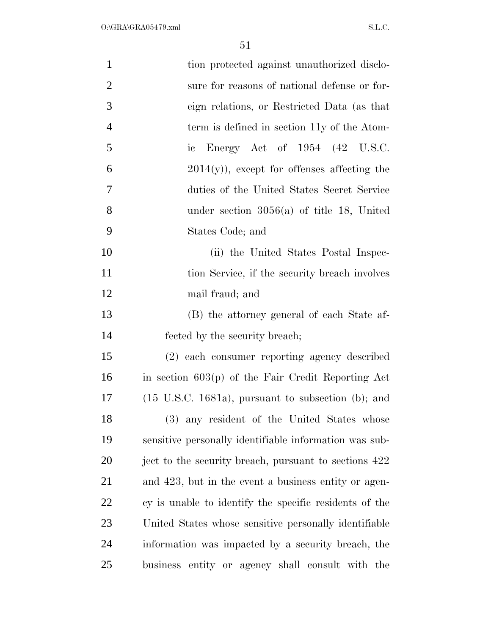| $\mathbf{1}$   | tion protected against unauthorized disclo-                    |
|----------------|----------------------------------------------------------------|
| $\overline{2}$ | sure for reasons of national defense or for-                   |
| 3              | eign relations, or Restricted Data (as that                    |
| $\overline{4}$ | term is defined in section 11y of the Atom-                    |
| 5              | Energy Act of $1954$ $(42 \text{ U.S.C.})$<br>$\rm ic$         |
| 6              | $2014(y)$ , except for offenses affecting the                  |
| 7              | duties of the United States Secret Service                     |
| 8              | under section $3056(a)$ of title 18, United                    |
| 9              | States Code; and                                               |
| 10             | (ii) the United States Postal Inspec-                          |
| 11             | tion Service, if the security breach involves                  |
| 12             | mail fraud; and                                                |
| 13             | (B) the attorney general of each State af-                     |
| 14             | fected by the security breach;                                 |
| 15             | (2) each consumer reporting agency described                   |
| 16             | in section $603(p)$ of the Fair Credit Reporting Act           |
| 17             | $(15 \text{ U.S.C. } 1681a)$ , pursuant to subsection (b); and |
| 18             | (3) any resident of the United States whose                    |
| 19             | sensitive personally identifiable information was sub-         |
| 20             | ject to the security breach, pursuant to sections 422          |
| 21             | and 423, but in the event a business entity or agen-           |
| 22             | cy is unable to identify the specific residents of the         |
| 23             | United States whose sensitive personally identifiable          |
| 24             | information was impacted by a security breach, the             |
| 25             | business entity or agency shall consult with the               |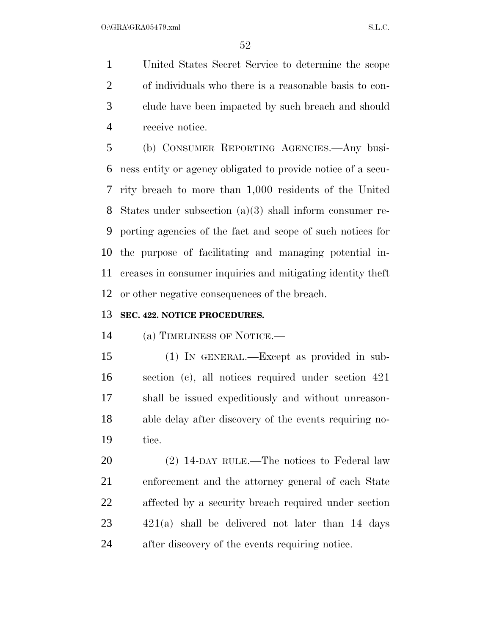United States Secret Service to determine the scope of individuals who there is a reasonable basis to con- clude have been impacted by such breach and should receive notice.

 (b) CONSUMER REPORTING AGENCIES.—Any busi- ness entity or agency obligated to provide notice of a secu- rity breach to more than 1,000 residents of the United States under subsection (a)(3) shall inform consumer re- porting agencies of the fact and scope of such notices for the purpose of facilitating and managing potential in- creases in consumer inquiries and mitigating identity theft or other negative consequences of the breach.

#### **SEC. 422. NOTICE PROCEDURES.**

(a) TIMELINESS OF NOTICE.—

 (1) IN GENERAL.—Except as provided in sub- section (c), all notices required under section 421 shall be issued expeditiously and without unreason- able delay after discovery of the events requiring no-tice.

20 (2) 14-DAY RULE.—The notices to Federal law enforcement and the attorney general of each State affected by a security breach required under section 421(a) shall be delivered not later than 14 days after discovery of the events requiring notice.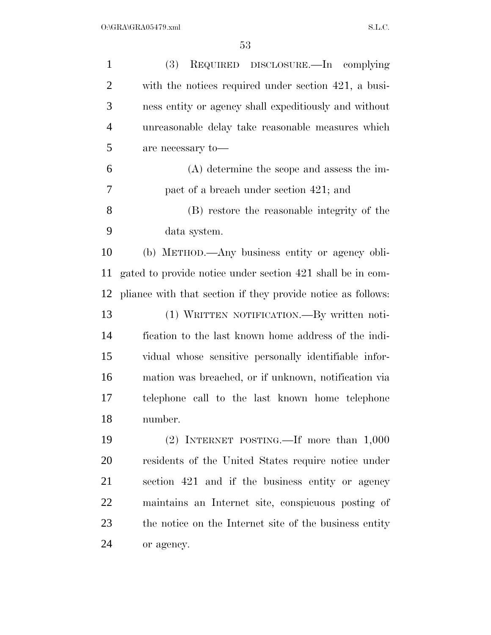| $\mathbf{1}$   | (3)<br>REQUIRED DISCLOSURE.—In complying                     |
|----------------|--------------------------------------------------------------|
| $\overline{2}$ | with the notices required under section 421, a busi-         |
| 3              | ness entity or agency shall expeditiously and without        |
| $\overline{4}$ | unreasonable delay take reasonable measures which            |
| 5              | are necessary to-                                            |
| 6              | $(A)$ determine the scope and assess the im-                 |
| 7              | pact of a breach under section 421; and                      |
| 8              | (B) restore the reasonable integrity of the                  |
| 9              | data system.                                                 |
| 10             | (b) METHOD.—Any business entity or agency obli-              |
| 11             | gated to provide notice under section 421 shall be in com-   |
| 12             | pliance with that section if they provide notice as follows: |
| 13             | (1) WRITTEN NOTIFICATION.—By written noti-                   |
| 14             | fication to the last known home address of the indi-         |
| 15             | vidual whose sensitive personally identifiable infor-        |
| 16             | mation was breached, or if unknown, notification via         |
| 17             | telephone call to the last known home telephone              |
| 18             | number.                                                      |
| 19             | (2) INTERNET POSTING.—If more than $1,000$                   |
| <b>20</b>      | residents of the United States require notice under          |
| 21             | section 421 and if the business entity or agency             |
| 22             | maintains an Internet site, conspicuous posting of           |
| 23             | the notice on the Internet site of the business entity       |
| 24             | or agency.                                                   |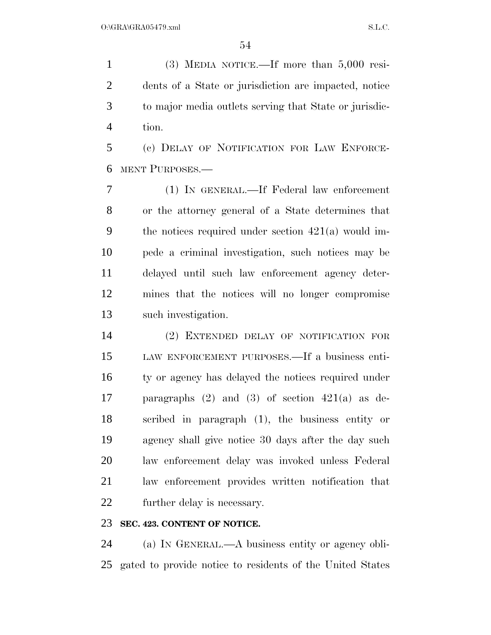(3) MEDIA NOTICE.—If more than 5,000 resi- dents of a State or jurisdiction are impacted, notice to major media outlets serving that State or jurisdic-tion.

 (c) DELAY OF NOTIFICATION FOR LAW ENFORCE-MENT PURPOSES.—

 (1) IN GENERAL.—If Federal law enforcement or the attorney general of a State determines that the notices required under section 421(a) would im- pede a criminal investigation, such notices may be delayed until such law enforcement agency deter- mines that the notices will no longer compromise such investigation.

 (2) EXTENDED DELAY OF NOTIFICATION FOR LAW ENFORCEMENT PURPOSES.—If a business enti- ty or agency has delayed the notices required under paragraphs (2) and (3) of section 421(a) as de- scribed in paragraph (1), the business entity or agency shall give notice 30 days after the day such law enforcement delay was invoked unless Federal law enforcement provides written notification that further delay is necessary.

#### **SEC. 423. CONTENT OF NOTICE.**

 (a) IN GENERAL.—A business entity or agency obli-gated to provide notice to residents of the United States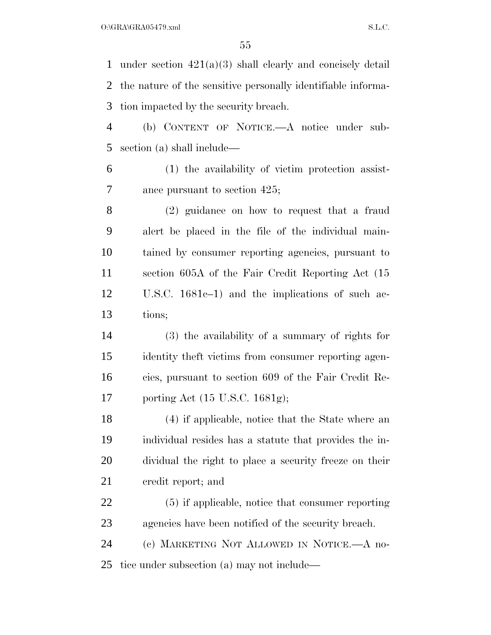under section 421(a)(3) shall clearly and concisely detail the nature of the sensitive personally identifiable informa-tion impacted by the security breach.

 (b) CONTENT OF NOTICE.—A notice under sub-section (a) shall include—

 (1) the availability of victim protection assist-ance pursuant to section 425;

 (2) guidance on how to request that a fraud alert be placed in the file of the individual main- tained by consumer reporting agencies, pursuant to section 605A of the Fair Credit Reporting Act (15 U.S.C. 1681c–1) and the implications of such ac-tions;

 (3) the availability of a summary of rights for identity theft victims from consumer reporting agen- cies, pursuant to section 609 of the Fair Credit Re-porting Act (15 U.S.C. 1681g);

 (4) if applicable, notice that the State where an individual resides has a statute that provides the in- dividual the right to place a security freeze on their credit report; and

 (5) if applicable, notice that consumer reporting agencies have been notified of the security breach.

 (c) MARKETING NOT ALLOWED IN NOTICE.—A no-tice under subsection (a) may not include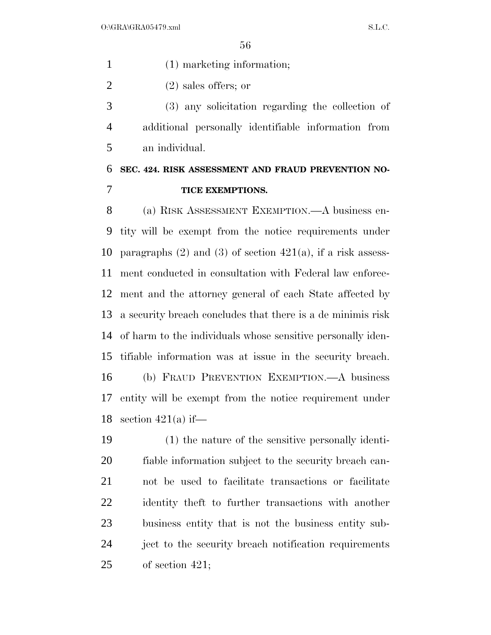(1) marketing information;

(2) sales offers; or

 (3) any solicitation regarding the collection of additional personally identifiable information from an individual.

## **SEC. 424. RISK ASSESSMENT AND FRAUD PREVENTION NO-TICE EXEMPTIONS.**

 (a) RISK ASSESSMENT EXEMPTION.—A business en- tity will be exempt from the notice requirements under 10 paragraphs  $(2)$  and  $(3)$  of section  $421(a)$ , if a risk assess- ment conducted in consultation with Federal law enforce- ment and the attorney general of each State affected by a security breach concludes that there is a de minimis risk of harm to the individuals whose sensitive personally iden- tifiable information was at issue in the security breach. (b) FRAUD PREVENTION EXEMPTION.—A business entity will be exempt from the notice requirement under 18 section  $421(a)$  if

 (1) the nature of the sensitive personally identi- fiable information subject to the security breach can- not be used to facilitate transactions or facilitate identity theft to further transactions with another business entity that is not the business entity sub- ject to the security breach notification requirements of section 421;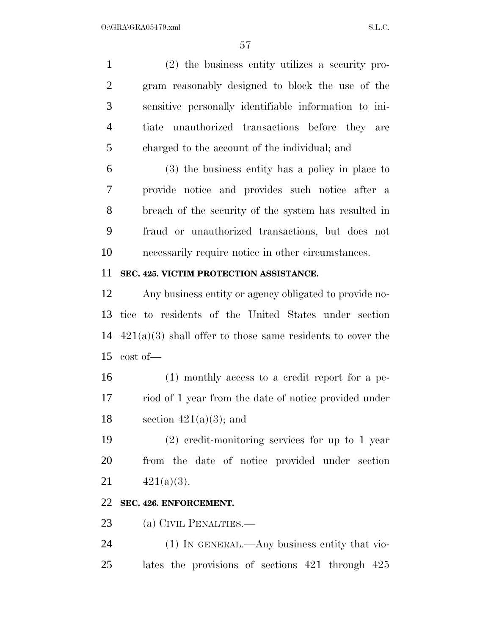(2) the business entity utilizes a security pro- gram reasonably designed to block the use of the sensitive personally identifiable information to ini- tiate unauthorized transactions before they are charged to the account of the individual; and

 (3) the business entity has a policy in place to provide notice and provides such notice after a breach of the security of the system has resulted in fraud or unauthorized transactions, but does not necessarily require notice in other circumstances.

#### **SEC. 425. VICTIM PROTECTION ASSISTANCE.**

 Any business entity or agency obligated to provide no- tice to residents of the United States under section 421(a)(3) shall offer to those same residents to cover the cost of—

 (1) monthly access to a credit report for a pe- riod of 1 year from the date of notice provided under 18 section  $421(a)(3)$ ; and

 (2) credit-monitoring services for up to 1 year from the date of notice provided under section 21  $421(a)(3)$ .

#### **SEC. 426. ENFORCEMENT.**

23 (a) CIVIL PENALTIES.—

 (1) IN GENERAL.—Any business entity that vio-lates the provisions of sections 421 through 425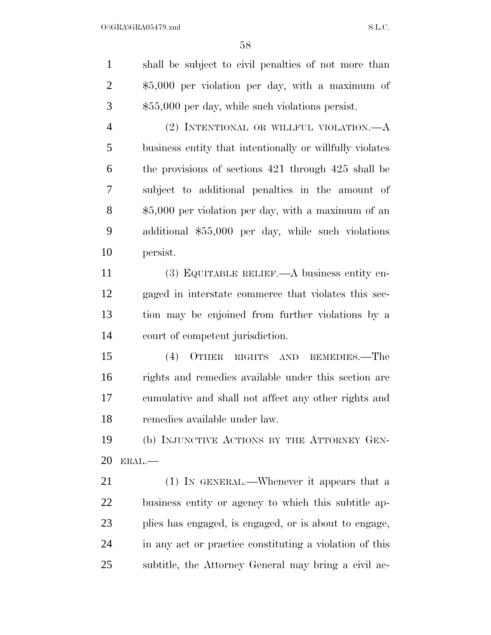shall be subject to civil penalties of not more than \$5,000 per violation per day, with a maximum of \$55,000 per day, while such violations persist. (2) INTENTIONAL OR WILLFUL VIOLATION.—A business entity that intentionally or willfully violates the provisions of sections 421 through 425 shall be subject to additional penalties in the amount of \$5,000 per violation per day, with a maximum of an additional \$55,000 per day, while such violations persist.

 (3) EQUITABLE RELIEF.—A business entity en- gaged in interstate commerce that violates this sec- tion may be enjoined from further violations by a court of competent jurisdiction.

 (4) OTHER RIGHTS AND REMEDIES.—The rights and remedies available under this section are cumulative and shall not affect any other rights and remedies available under law.

 (b) INJUNCTIVE ACTIONS BY THE ATTORNEY GEN-ERAL.—

 (1) IN GENERAL.—Whenever it appears that a business entity or agency to which this subtitle ap- plies has engaged, is engaged, or is about to engage, in any act or practice constituting a violation of this subtitle, the Attorney General may bring a civil ac-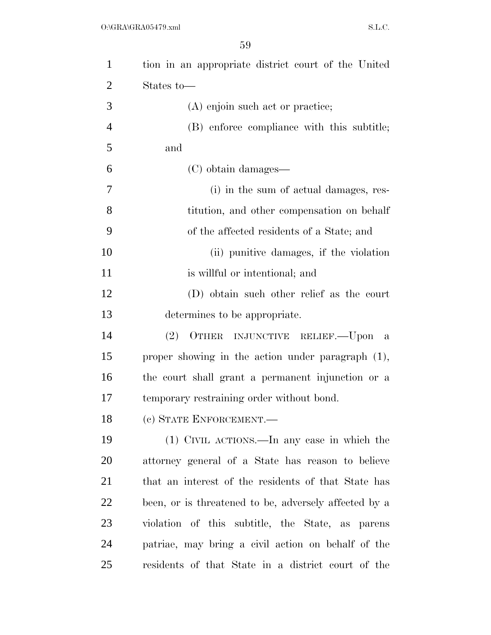| $\mathbf{1}$   | tion in an appropriate district court of the United   |
|----------------|-------------------------------------------------------|
| 2              | States to-                                            |
| 3              | (A) enjoin such act or practice;                      |
| $\overline{4}$ | (B) enforce compliance with this subtitle;            |
| 5              | and                                                   |
| 6              | (C) obtain damages—                                   |
| 7              | (i) in the sum of actual damages, res-                |
| 8              | titution, and other compensation on behalf            |
| 9              | of the affected residents of a State; and             |
| 10             | (ii) punitive damages, if the violation               |
| 11             | is willful or intentional; and                        |
| 12             | (D) obtain such other relief as the court             |
| 13             | determines to be appropriate.                         |
| 14             | OTHER INJUNCTIVE RELIEF. - Upon a<br>(2)              |
| 15             | proper showing in the action under paragraph $(1)$ ,  |
| 16             | the court shall grant a permanent injunction or a     |
| 17             | temporary restraining order without bond.             |
| 18             | (c) STATE ENFORCEMENT.-                               |
| 19             | (1) CIVIL ACTIONS.—In any case in which the           |
| 20             | attorney general of a State has reason to believe     |
| 21             | that an interest of the residents of that State has   |
| 22             | been, or is threatened to be, adversely affected by a |
| 23             | violation of this subtitle, the State, as parens      |
| 24             | patriae, may bring a civil action on behalf of the    |
| 25             | residents of that State in a district court of the    |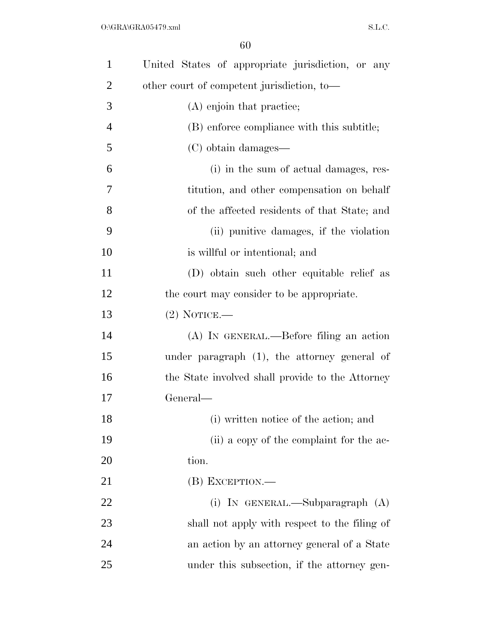| $\mathbf{1}$   | United States of appropriate jurisdiction, or any |
|----------------|---------------------------------------------------|
| 2              | other court of competent jurisdiction, to-        |
| 3              | (A) enjoin that practice;                         |
| $\overline{4}$ | (B) enforce compliance with this subtitle;        |
| 5              | (C) obtain damages—                               |
| 6              | (i) in the sum of actual damages, res-            |
| 7              | titution, and other compensation on behalf        |
| 8              | of the affected residents of that State; and      |
| 9              | (ii) punitive damages, if the violation           |
| 10             | is willful or intentional; and                    |
| 11             | (D) obtain such other equitable relief as         |
| 12             | the court may consider to be appropriate.         |
| 13             | $(2)$ NOTICE.—                                    |
| 14             | (A) IN GENERAL.—Before filing an action           |
| 15             | under paragraph $(1)$ , the attorney general of   |
| 16             | the State involved shall provide to the Attorney  |
| 17             | General—                                          |
| 18             | (i) written notice of the action; and             |
| 19             | (ii) a copy of the complaint for the ac-          |
| 20             | tion.                                             |
| 21             | (B) EXCEPTION.-                                   |
| 22             | (i) IN GENERAL.—Subparagraph $(A)$                |
| 23             | shall not apply with respect to the filing of     |
| 24             | an action by an attorney general of a State       |
| 25             | under this subsection, if the attorney gen-       |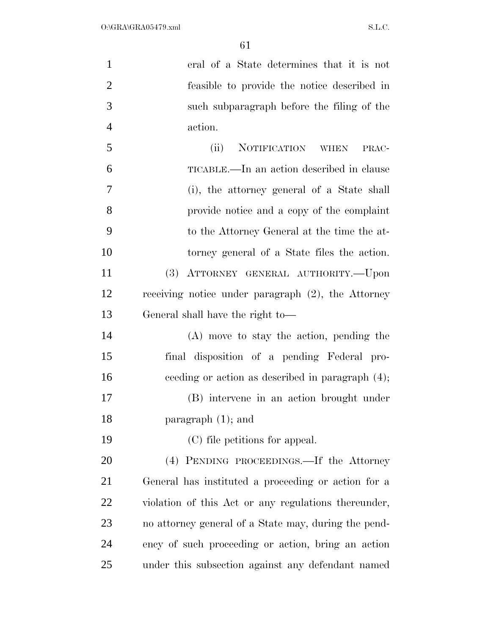| $\mathbf{1}$   | eral of a State determines that it is not             |
|----------------|-------------------------------------------------------|
| $\overline{2}$ | feasible to provide the notice described in           |
| 3              | such subparagraph before the filing of the            |
| $\overline{4}$ | action.                                               |
| 5              | NOTIFICATION WHEN<br>(ii)<br>PRAC-                    |
| 6              | TICABLE.—In an action described in clause             |
| 7              | (i), the attorney general of a State shall            |
| 8              | provide notice and a copy of the complaint            |
| 9              | to the Attorney General at the time the at-           |
| 10             | torney general of a State files the action.           |
| 11             | ATTORNEY GENERAL AUTHORITY.--Upon<br>(3)              |
| 12             | receiving notice under paragraph $(2)$ , the Attorney |
| 13             | General shall have the right to-                      |
| 14             | $(A)$ move to stay the action, pending the            |
| 15             | final disposition of a pending Federal pro-           |
| 16             | ceeding or action as described in paragraph (4);      |
| 17             | (B) intervene in an action brought under              |
| 18             | paragraph $(1)$ ; and                                 |
| 19             | (C) file petitions for appeal.                        |
| 20             | (4) PENDING PROCEEDINGS.—If the Attorney              |
| 21             | General has instituted a proceeding or action for a   |
| 22             | violation of this Act or any regulations thereunder,  |
| 23             | no attorney general of a State may, during the pend-  |
| 24             | ency of such proceeding or action, bring an action    |
| 25             | under this subsection against any defendant named     |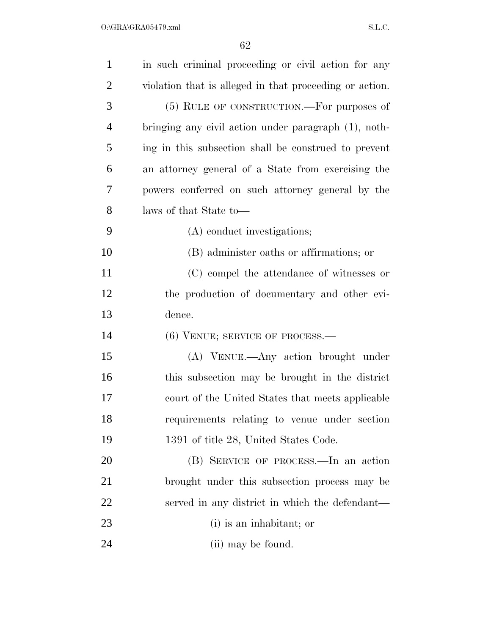| $\mathbf{1}$   | in such criminal proceeding or civil action for any     |
|----------------|---------------------------------------------------------|
| $\overline{2}$ | violation that is alleged in that proceeding or action. |
| 3              | (5) RULE OF CONSTRUCTION.—For purposes of               |
| 4              | bringing any civil action under paragraph (1), noth-    |
| 5              | ing in this subsection shall be construed to prevent    |
| 6              | an attorney general of a State from exercising the      |
| 7              | powers conferred on such attorney general by the        |
| 8              | laws of that State to-                                  |
| 9              | (A) conduct investigations;                             |
| 10             | (B) administer oaths or affirmations; or                |
| 11             | (C) compel the attendance of witnesses or               |
| 12             | the production of documentary and other evi-            |
| 13             | dence.                                                  |
| 14             | $(6)$ VENUE; SERVICE OF PROCESS.—                       |
| 15             | (A) VENUE.—Any action brought under                     |
| 16             | this subsection may be brought in the district          |
| 17             | court of the United States that meets applicable        |
| 18             | requirements relating to venue under section            |
| 19             | 1391 of title 28, United States Code.                   |
| 20             | (B) SERVICE OF PROCESS.—In an action                    |
| 21             | brought under this subsection process may be            |
| 22             | served in any district in which the defendant—          |
| 23             | (i) is an inhabitant; or                                |
| 24             | (ii) may be found.                                      |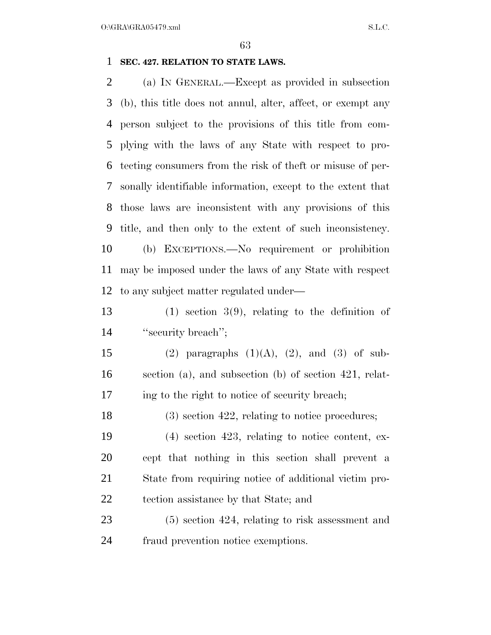$O:\overline{GRA}\setminus GRA$   $SL.C.$ 

#### **SEC. 427. RELATION TO STATE LAWS.**

 (a) IN GENERAL.—Except as provided in subsection (b), this title does not annul, alter, affect, or exempt any person subject to the provisions of this title from com- plying with the laws of any State with respect to pro- tecting consumers from the risk of theft or misuse of per- sonally identifiable information, except to the extent that those laws are inconsistent with any provisions of this title, and then only to the extent of such inconsistency. (b) EXCEPTIONS.—No requirement or prohibition may be imposed under the laws of any State with respect to any subject matter regulated under—

 (1) section  $3(9)$ , relating to the definition of 14 "security breach";

15 (2) paragraphs  $(1)(A)$ ,  $(2)$ , and  $(3)$  of sub- section (a), and subsection (b) of section 421, relat-ing to the right to notice of security breach;

18 (3) section 422, relating to notice procedures;

 (4) section 423, relating to notice content, ex- cept that nothing in this section shall prevent a State from requiring notice of additional victim pro-tection assistance by that State; and

 (5) section 424, relating to risk assessment and fraud prevention notice exemptions.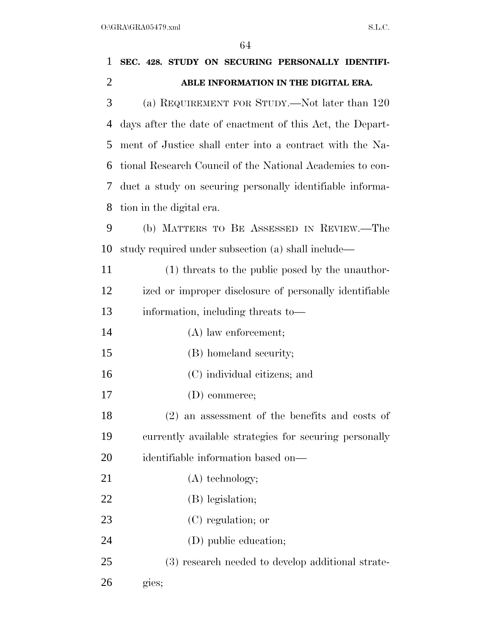| $\mathbf{1}$   | SEC. 428. STUDY ON SECURING PERSONALLY IDENTIFI-          |
|----------------|-----------------------------------------------------------|
| $\overline{2}$ | ABLE INFORMATION IN THE DIGITAL ERA.                      |
| 3              | (a) REQUIREMENT FOR STUDY.—Not later than 120             |
| 4              | days after the date of enactment of this Act, the Depart- |
| 5              | ment of Justice shall enter into a contract with the Na-  |
| 6              | tional Research Council of the National Academies to con- |
| 7              | duct a study on securing personally identifiable informa- |
| 8              | tion in the digital era.                                  |
| 9              | (b) MATTERS TO BE ASSESSED IN REVIEW.—The                 |
| 10             | study required under subsection (a) shall include—        |
| 11             | (1) threats to the public posed by the unauthor-          |
| 12             | ized or improper disclosure of personally identifiable    |
| 13             | information, including threats to-                        |
| 14             | $(A)$ law enforcement;                                    |
| 15             | (B) homeland security;                                    |
| 16             | (C) individual citizens; and                              |
| 17             | (D) commerce;                                             |
| 18             | $(2)$ an assessment of the benefits and costs of          |
| 19             | currently available strategies for securing personally    |
| 20             | identifiable information based on—                        |
| 21             | $(A)$ technology;                                         |
| 22             | (B) legislation;                                          |
| 23             | (C) regulation; or                                        |
| 24             | (D) public education;                                     |
| 25             | (3) research needed to develop additional strate-         |
| 26             | gies;                                                     |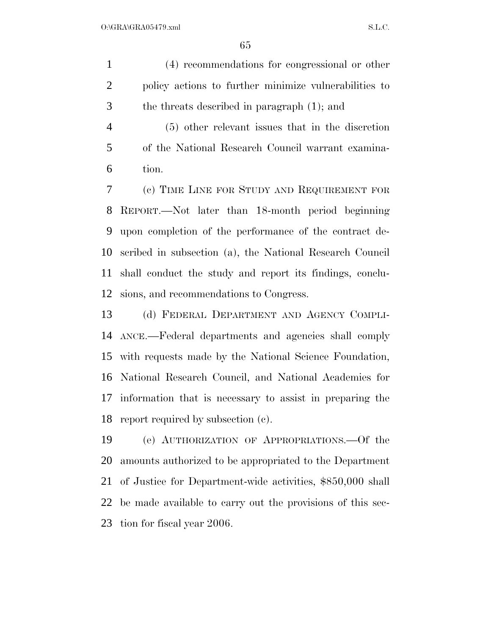(4) recommendations for congressional or other policy actions to further minimize vulnerabilities to the threats described in paragraph (1); and

 (5) other relevant issues that in the discretion of the National Research Council warrant examina-tion.

 (c) TIME LINE FOR STUDY AND REQUIREMENT FOR REPORT.—Not later than 18-month period beginning upon completion of the performance of the contract de- scribed in subsection (a), the National Research Council shall conduct the study and report its findings, conclu-sions, and recommendations to Congress.

 (d) FEDERAL DEPARTMENT AND AGENCY COMPLI- ANCE.—Federal departments and agencies shall comply with requests made by the National Science Foundation, National Research Council, and National Academies for information that is necessary to assist in preparing the report required by subsection (c).

 (e) AUTHORIZATION OF APPROPRIATIONS.—Of the amounts authorized to be appropriated to the Department of Justice for Department-wide activities, \$850,000 shall be made available to carry out the provisions of this sec-tion for fiscal year 2006.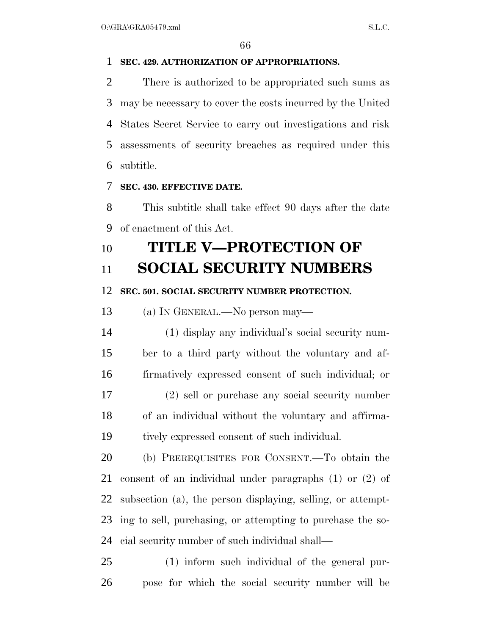#### **SEC. 429. AUTHORIZATION OF APPROPRIATIONS.**

 There is authorized to be appropriated such sums as may be necessary to cover the costs incurred by the United States Secret Service to carry out investigations and risk assessments of security breaches as required under this subtitle.

#### **SEC. 430. EFFECTIVE DATE.**

 This subtitle shall take effect 90 days after the date of enactment of this Act.

## **TITLE V—PROTECTION OF**

### **SOCIAL SECURITY NUMBERS**

#### **SEC. 501. SOCIAL SECURITY NUMBER PROTECTION.**

(a) IN GENERAL.—No person may—

 (1) display any individual's social security num- ber to a third party without the voluntary and af- firmatively expressed consent of such individual; or (2) sell or purchase any social security number of an individual without the voluntary and affirma-tively expressed consent of such individual.

 (b) PREREQUISITES FOR CONSENT.—To obtain the consent of an individual under paragraphs (1) or (2) of subsection (a), the person displaying, selling, or attempt- ing to sell, purchasing, or attempting to purchase the so-cial security number of such individual shall—

 (1) inform such individual of the general pur-pose for which the social security number will be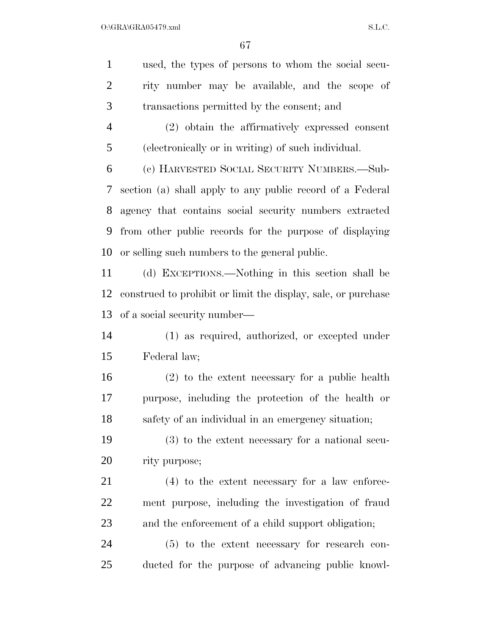used, the types of persons to whom the social secu- rity number may be available, and the scope of transactions permitted by the consent; and (2) obtain the affirmatively expressed consent (electronically or in writing) of such individual. (c) HARVESTED SOCIAL SECURITY NUMBERS.—Sub- section (a) shall apply to any public record of a Federal agency that contains social security numbers extracted from other public records for the purpose of displaying or selling such numbers to the general public. (d) EXCEPTIONS.—Nothing in this section shall be construed to prohibit or limit the display, sale, or purchase of a social security number— (1) as required, authorized, or excepted under Federal law;

 (2) to the extent necessary for a public health purpose, including the protection of the health or safety of an individual in an emergency situation;

 (3) to the extent necessary for a national secu-rity purpose;

 (4) to the extent necessary for a law enforce- ment purpose, including the investigation of fraud and the enforcement of a child support obligation;

 (5) to the extent necessary for research con-ducted for the purpose of advancing public knowl-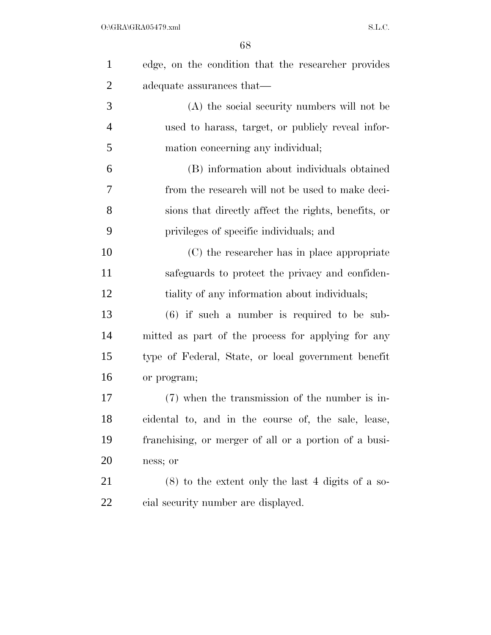| $\mathbf{1}$   | edge, on the condition that the researcher provides   |
|----------------|-------------------------------------------------------|
| $\overline{2}$ | adequate assurances that—                             |
| 3              | (A) the social security numbers will not be           |
| $\overline{4}$ | used to harass, target, or publicly reveal infor-     |
| 5              | mation concerning any individual;                     |
| 6              | (B) information about individuals obtained            |
| $\overline{7}$ | from the research will not be used to make deci-      |
| 8              | sions that directly affect the rights, benefits, or   |
| 9              | privileges of specific individuals; and               |
| 10             | (C) the researcher has in place appropriate           |
| 11             | safeguards to protect the privacy and confiden-       |
| 12             | tiality of any information about individuals;         |
| 13             | $(6)$ if such a number is required to be sub-         |
| 14             | mitted as part of the process for applying for any    |
| 15             | type of Federal, State, or local government benefit   |
| 16             | or program;                                           |
| 17             | (7) when the transmission of the number is in-        |
| 18             | cidental to, and in the course of, the sale, lease,   |
| 19             | franchising, or merger of all or a portion of a busi- |
| 20             | ness; or                                              |
| 21             | $(8)$ to the extent only the last 4 digits of a so-   |
| 22             | cial security number are displayed.                   |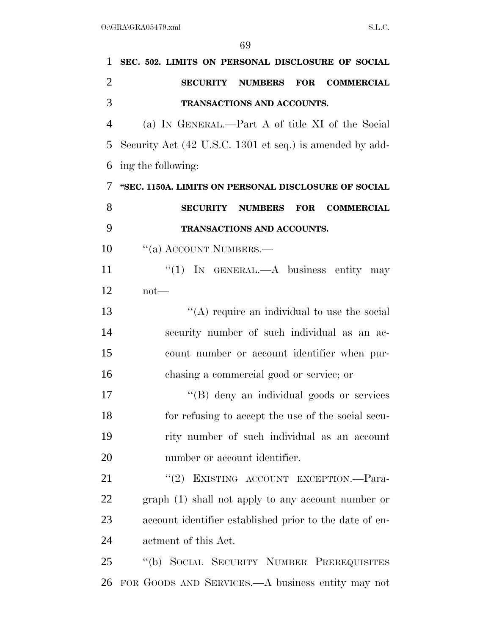| $\mathbf{1}$   | SEC. 502. LIMITS ON PERSONAL DISCLOSURE OF SOCIAL                    |
|----------------|----------------------------------------------------------------------|
| $\overline{2}$ | <b>NUMBERS</b><br><b>COMMERCIAL</b><br><b>SECURITY</b><br><b>FOR</b> |
| 3              | TRANSACTIONS AND ACCOUNTS.                                           |
| $\overline{4}$ | (a) IN GENERAL.—Part A of title XI of the Social                     |
| 5              | Security Act (42 U.S.C. 1301 et seq.) is amended by add-             |
| 6              | ing the following:                                                   |
| 7              | "SEC. 1150A. LIMITS ON PERSONAL DISCLOSURE OF SOCIAL                 |
| 8              | <b>SECURITY</b><br><b>NUMBERS</b><br><b>FOR</b><br><b>COMMERCIAL</b> |
| 9              | TRANSACTIONS AND ACCOUNTS.                                           |
| 10             | "(a) ACCOUNT NUMBERS.—                                               |
| 11             | "(1) IN GENERAL.—A business entity may                               |
| 12             | $not$ —                                                              |
| 13             | "(A) require an individual to use the social                         |
| 14             | security number of such individual as an ac-                         |
| 15             | count number or account identifier when pur-                         |
| 16             | chasing a commercial good or service; or                             |
| 17             | "(B) deny an individual goods or services                            |
| 18             | for refusing to accept the use of the social secu-                   |
| 19             | rity number of such individual as an account                         |
| 20             | number or account identifier.                                        |
| 21             | "(2) EXISTING ACCOUNT EXCEPTION.—Para-                               |
| 22             | graph (1) shall not apply to any account number or                   |
| 23             | account identifier established prior to the date of en-              |
| 24             | actment of this Act.                                                 |
| 25             | "(b) SOCIAL SECURITY NUMBER PREREQUISITES                            |
| 26             | FOR GOODS AND SERVICES.—A business entity may not                    |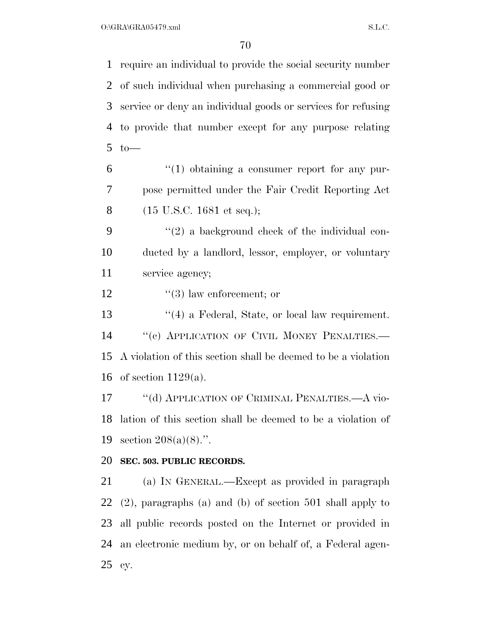$O:\overline{GRA}\setminus GRA$  s.m.

 require an individual to provide the social security number of such individual when purchasing a commercial good or service or deny an individual goods or services for refusing to provide that number except for any purpose relating to— "(1) obtaining a consumer report for any pur- pose permitted under the Fair Credit Reporting Act (15 U.S.C. 1681 et seq.);  $(2)$  a background check of the individual con- ducted by a landlord, lessor, employer, or voluntary service agency;  $\frac{1}{3}$  law enforcement; or 13 ''(4) a Federal, State, or local law requirement. 14 "(c) APPLICATION OF CIVIL MONEY PENALTIES.— A violation of this section shall be deemed to be a violation of section 1129(a). 17 "(d) APPLICATION OF CRIMINAL PENALTIES.—A vio- lation of this section shall be deemed to be a violation of section 208(a)(8).''. **SEC. 503. PUBLIC RECORDS.**  (a) IN GENERAL.—Except as provided in paragraph (2), paragraphs (a) and (b) of section 501 shall apply to all public records posted on the Internet or provided in an electronic medium by, or on behalf of, a Federal agen-cy.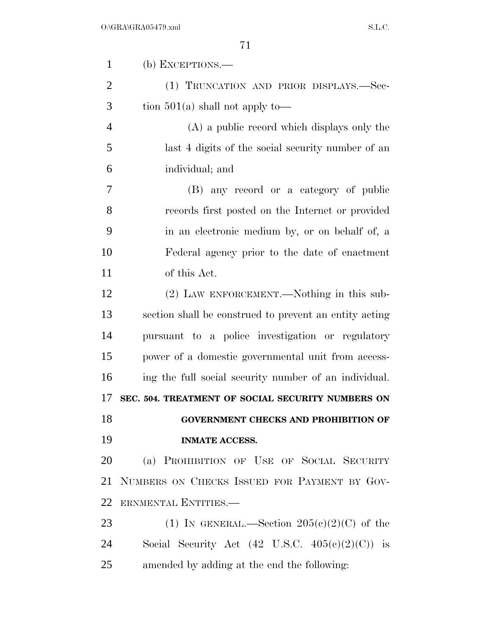| $\mathbf{1}$   | $(b)$ EXCEPTIONS.—                                         |
|----------------|------------------------------------------------------------|
| $\overline{2}$ | (1) TRUNCATION AND PRIOR DISPLAYS.—Sec-                    |
| 3              | tion $501(a)$ shall not apply to —                         |
| $\overline{4}$ | (A) a public record which displays only the                |
| 5              | last 4 digits of the social security number of an          |
| 6              | individual; and                                            |
| 7              | (B) any record or a category of public                     |
| 8              | records first posted on the Internet or provided           |
| 9              | in an electronic medium by, or on behalf of, a             |
| 10             | Federal agency prior to the date of enactment              |
| 11             | of this Act.                                               |
| 12             | (2) LAW ENFORCEMENT.—Nothing in this sub-                  |
| 13             | section shall be construed to prevent an entity acting     |
| 14             | pursuant to a police investigation or regulatory           |
| 15             | power of a domestic governmental unit from access-         |
| 16             | ing the full social security number of an individual.      |
| 17             | SEC. 504. TREATMENT OF SOCIAL SECURITY NUMBERS ON          |
| 18             | <b>GOVERNMENT CHECKS AND PROHIBITION OF</b>                |
| 19             | <b>INMATE ACCESS.</b>                                      |
| 20             | (a) PROHIBITION OF USE OF SOCIAL SECURITY                  |
| 21             | NUMBERS ON CHECKS ISSUED FOR PAYMENT BY GOV-               |
| 22             | ERNMENTAL ENTITIES.—                                       |
| 23             | (1) IN GENERAL.—Section $205(e)(2)(C)$ of the              |
| 24             | Social Security Act $(42 \text{ U.S.C. } 405(c)(2)(C))$ is |
| 25             | amended by adding at the end the following:                |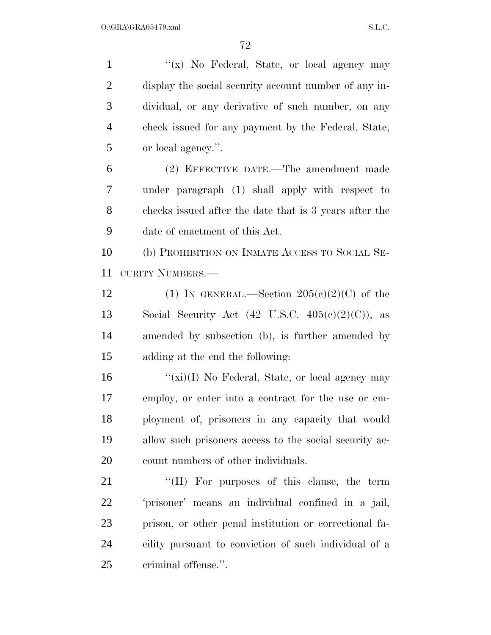1 "(x) No Federal, State, or local agency may display the social security account number of any in- dividual, or any derivative of such number, on any check issued for any payment by the Federal, State, or local agency.''.

 (2) EFFECTIVE DATE.—The amendment made under paragraph (1) shall apply with respect to checks issued after the date that is 3 years after the date of enactment of this Act.

 (b) PROHIBITION ON INMATE ACCESS TO SOCIAL SE-CURITY NUMBERS.—

12 (1) IN GENERAL.—Section  $205(c)(2)(C)$  of the 13 Social Security Act  $(42 \text{ U.S.C. } 405(c)(2)(C))$ , as amended by subsection (b), is further amended by adding at the end the following:

 ''(xi)(I) No Federal, State, or local agency may employ, or enter into a contract for the use or em- ployment of, prisoners in any capacity that would allow such prisoners access to the social security ac-20 count numbers of other individuals.

21 "(II) For purposes of this clause, the term 'prisoner' means an individual confined in a jail, prison, or other penal institution or correctional fa- cility pursuant to conviction of such individual of a criminal offense.''.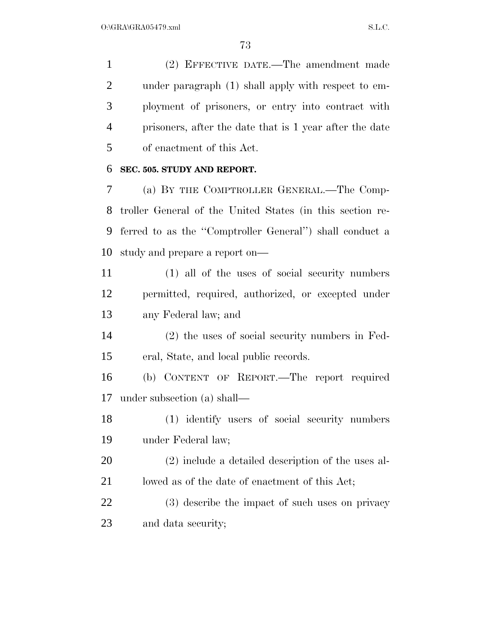(2) EFFECTIVE DATE.—The amendment made under paragraph (1) shall apply with respect to em- ployment of prisoners, or entry into contract with prisoners, after the date that is 1 year after the date of enactment of this Act.

## **SEC. 505. STUDY AND REPORT.**

 (a) BY THE COMPTROLLER GENERAL.—The Comp- troller General of the United States (in this section re- ferred to as the ''Comptroller General'') shall conduct a study and prepare a report on—

 (1) all of the uses of social security numbers permitted, required, authorized, or excepted under any Federal law; and

 (2) the uses of social security numbers in Fed-eral, State, and local public records.

 (b) CONTENT OF REPORT.—The report required under subsection (a) shall—

 (1) identify users of social security numbers under Federal law;

 (2) include a detailed description of the uses al-21 lowed as of the date of enactment of this Act;

 (3) describe the impact of such uses on privacy and data security;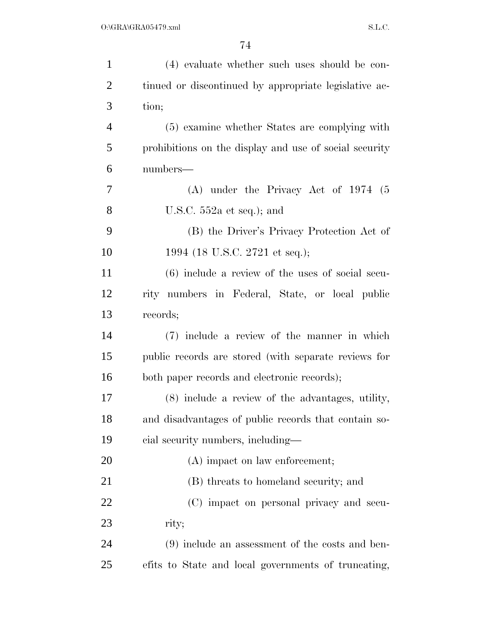| $\mathbf{1}$   | (4) evaluate whether such uses should be con-          |
|----------------|--------------------------------------------------------|
| $\overline{2}$ | tinued or discontinued by appropriate legislative ac-  |
| 3              | tion;                                                  |
| $\overline{4}$ | (5) examine whether States are complying with          |
| 5              | prohibitions on the display and use of social security |
| 6              | numbers—                                               |
| 7              | $(A)$ under the Privacy Act of 1974 (5)                |
| 8              | U.S.C. $552a$ et seq.); and                            |
| 9              | (B) the Driver's Privacy Protection Act of             |
| 10             | 1994 (18 U.S.C. 2721 et seq.);                         |
| 11             | $(6)$ include a review of the uses of social secu-     |
| 12             | rity numbers in Federal, State, or local public        |
| 13             | records;                                               |
| 14             | (7) include a review of the manner in which            |
| 15             | public records are stored (with separate reviews for   |
| 16             | both paper records and electronic records);            |
| 17             | (8) include a review of the advantages, utility,       |
| 18             | and disadvantages of public records that contain so-   |
| 19             | cial security numbers, including—                      |
| 20             | (A) impact on law enforcement;                         |
| 21             | (B) threats to homeland security; and                  |
| 22             | (C) impact on personal privacy and secu-               |
| 23             | rity;                                                  |
| 24             | (9) include an assessment of the costs and ben-        |
| 25             | efits to State and local governments of truncating,    |
|                |                                                        |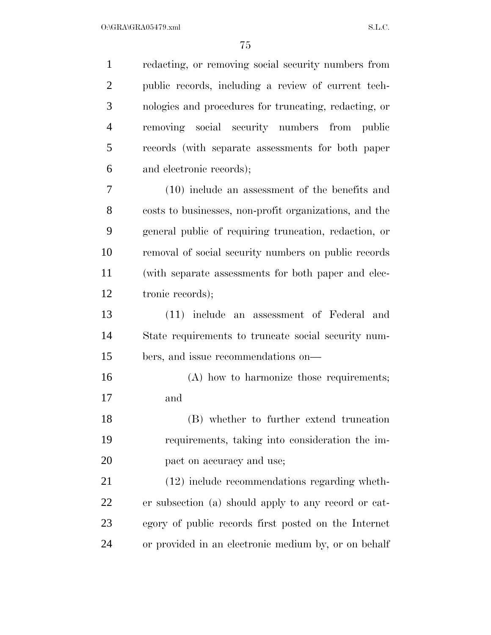$O:\Gamma$ GRA $\Gamma$ GRA05479.xml S.L.C.

| redacting, or removing social security numbers from    |
|--------------------------------------------------------|
| public records, including a review of current tech-    |
| nologies and procedures for truncating, redacting, or  |
| removing social security numbers from<br><i>public</i> |
| records (with separate assessments for both paper      |
| and electronic records);                               |
| $(10)$ include an assessment of the benefits and       |
| costs to businesses, non-profit organizations, and the |
| general public of requiring truncation, redaction, or  |
| removal of social security numbers on public records   |
| (with separate assessments for both paper and elec-    |
| tronic records);                                       |
| (11) include an assessment of Federal and              |
| State requirements to truncate social security num-    |
| bers, and issue recommendations on—                    |
| (A) how to harmonize those requirements;               |
| and                                                    |
| (B) whether to further extend truncation               |
| requirements, taking into consideration the im-        |
| pact on accuracy and use;                              |
| (12) include recommendations regarding wheth-          |
| er subsection (a) should apply to any record or cat-   |
| egory of public records first posted on the Internet   |
|                                                        |
|                                                        |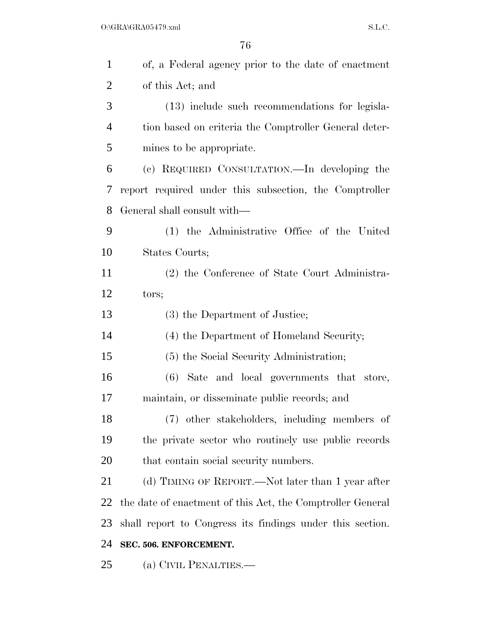| $\mathbf{1}$   | of, a Federal agency prior to the date of enactment        |
|----------------|------------------------------------------------------------|
| $\overline{2}$ | of this Act; and                                           |
| 3              | (13) include such recommendations for legisla-             |
| $\overline{4}$ | tion based on criteria the Comptroller General deter-      |
| 5              | mines to be appropriate.                                   |
| 6              | (c) REQUIRED CONSULTATION.—In developing the               |
| 7              | report required under this subsection, the Comptroller     |
| 8              | General shall consult with—                                |
| 9              | (1) the Administrative Office of the United                |
| 10             | States Courts;                                             |
| 11             | (2) the Conference of State Court Administra-              |
| 12             | tors;                                                      |
| 13             | (3) the Department of Justice;                             |
| 14             | (4) the Department of Homeland Security;                   |
| 15             | (5) the Social Security Administration;                    |
| 16             | (6) Sate and local governments that store,                 |
| 17             | maintain, or disseminate public records; and               |
| 18             | (7) other stakeholders, including members of               |
| 19             | the private sector who routinely use public records        |
| 20             | that contain social security numbers.                      |
| 21             | (d) TIMING OF REPORT.—Not later than 1 year after          |
| 22             | the date of enactment of this Act, the Comptroller General |
| 23             | shall report to Congress its findings under this section.  |
| 24             | SEC. 506. ENFORCEMENT.                                     |
| 25             | (a) CIVIL PENALTIES.—                                      |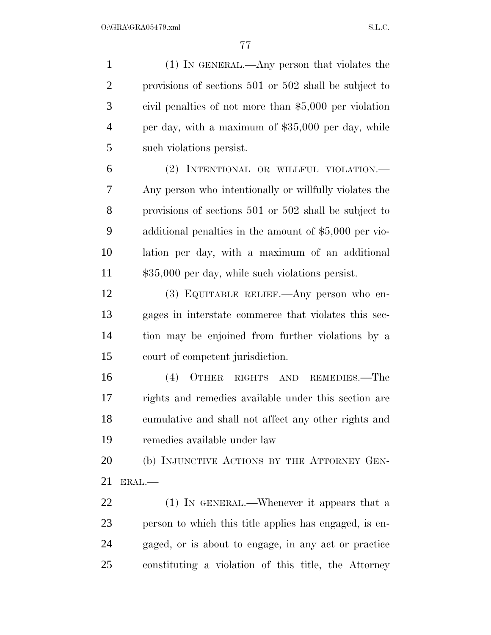(1) IN GENERAL.—Any person that violates the provisions of sections 501 or 502 shall be subject to civil penalties of not more than \$5,000 per violation per day, with a maximum of \$35,000 per day, while such violations persist.

 (2) INTENTIONAL OR WILLFUL VIOLATION.— Any person who intentionally or willfully violates the provisions of sections 501 or 502 shall be subject to additional penalties in the amount of \$5,000 per vio- lation per day, with a maximum of an additional  $\qquad$  \$35,000 per day, while such violations persist.

 (3) EQUITABLE RELIEF.—Any person who en- gages in interstate commerce that violates this sec- tion may be enjoined from further violations by a court of competent jurisdiction.

 (4) OTHER RIGHTS AND REMEDIES.—The rights and remedies available under this section are cumulative and shall not affect any other rights and remedies available under law

20 (b) INJUNCTIVE ACTIONS BY THE ATTORNEY GEN-ERAL.—

 (1) IN GENERAL.—Whenever it appears that a person to which this title applies has engaged, is en- gaged, or is about to engage, in any act or practice constituting a violation of this title, the Attorney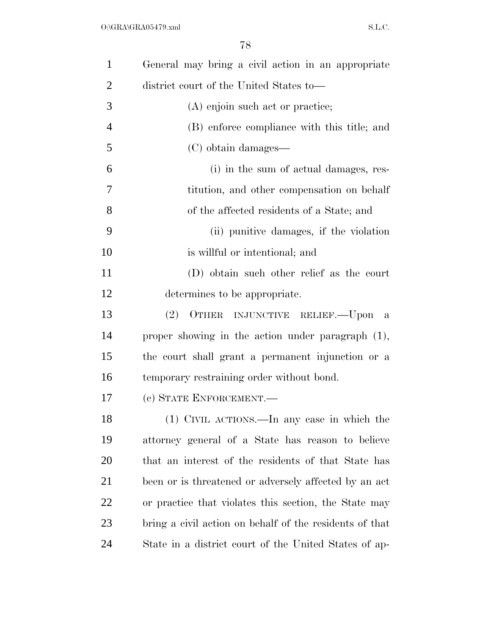| $\mathbf{1}$   | General may bring a civil action in an appropriate      |
|----------------|---------------------------------------------------------|
| $\overline{2}$ | district court of the United States to-                 |
| 3              | (A) enjoin such act or practice;                        |
| $\overline{4}$ | (B) enforce compliance with this title; and             |
| 5              | (C) obtain damages—                                     |
| 6              | (i) in the sum of actual damages, res-                  |
| 7              | titution, and other compensation on behalf              |
| 8              | of the affected residents of a State; and               |
| 9              | (ii) punitive damages, if the violation                 |
| 10             | is will ful or intentional; and                         |
| 11             | (D) obtain such other relief as the court               |
| 12             | determines to be appropriate.                           |
| 13             | (2) OTHER INJUNCTIVE RELIEF. Upon a                     |
| 14             | proper showing in the action under paragraph $(1)$ ,    |
| 15             | the court shall grant a permanent injunction or a       |
| 16             | temporary restraining order without bond.               |
| 17             | (c) STATE ENFORCEMENT.                                  |
| 18             | (1) CIVIL ACTIONS.—In any case in which the             |
| 19             | attorney general of a State has reason to believe       |
| <b>20</b>      | that an interest of the residents of that State has     |
| 21             | been or is threatened or adversely affected by an act   |
| 22             | or practice that violates this section, the State may   |
| 23             | bring a civil action on behalf of the residents of that |
| 24             | State in a district court of the United States of ap-   |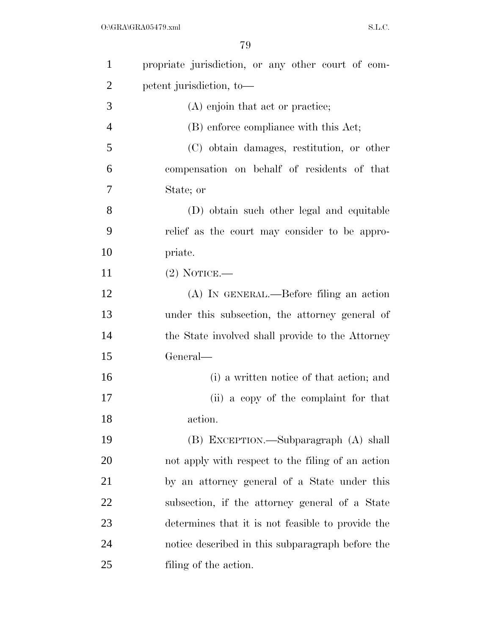| $\mathbf{1}$   | propriate jurisdiction, or any other court of com- |
|----------------|----------------------------------------------------|
| $\overline{2}$ | petent jurisdiction, to-                           |
| 3              | (A) enjoin that act or practice;                   |
| $\overline{4}$ | (B) enforce compliance with this Act;              |
| 5              | (C) obtain damages, restitution, or other          |
| 6              | compensation on behalf of residents of that        |
| 7              | State; or                                          |
| 8              | (D) obtain such other legal and equitable          |
| 9              | relief as the court may consider to be appro-      |
| 10             | priate.                                            |
| 11             | $(2)$ NOTICE.—                                     |
| 12             | $(A)$ In GENERAL.—Before filing an action          |
| 13             | under this subsection, the attorney general of     |
| 14             | the State involved shall provide to the Attorney   |
| 15             | General—                                           |
| 16             | (i) a written notice of that action; and           |
| 17             | (ii) a copy of the complaint for that              |
| 18             | action.                                            |
| 19             | (B) EXCEPTION.—Subparagraph (A) shall              |
| 20             | not apply with respect to the filing of an action  |
| 21             | by an attorney general of a State under this       |
| 22             | subsection, if the attorney general of a State     |
| 23             | determines that it is not feasible to provide the  |
| 24             | notice described in this subparagraph before the   |
| 25             | filing of the action.                              |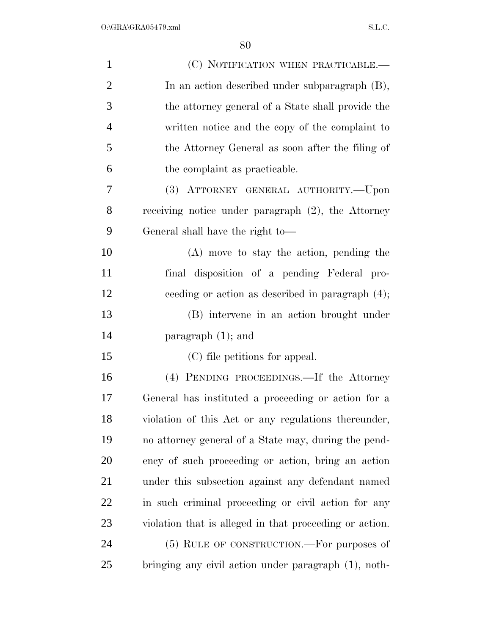| $\mathbf{1}$   | (C) NOTIFICATION WHEN PRACTICABLE.—                     |
|----------------|---------------------------------------------------------|
| $\overline{2}$ | In an action described under subparagraph (B),          |
| 3              | the attorney general of a State shall provide the       |
| $\overline{4}$ | written notice and the copy of the complaint to         |
| 5              | the Attorney General as soon after the filing of        |
| 6              | the complaint as practicable.                           |
| 7              | (3) ATTORNEY GENERAL AUTHORITY.--Upon                   |
| 8              | receiving notice under paragraph $(2)$ , the Attorney   |
| 9              | General shall have the right to-                        |
| 10             | $(A)$ move to stay the action, pending the              |
| 11             | final disposition of a pending Federal pro-             |
| 12             | ceeding or action as described in paragraph $(4)$ ;     |
| 13             | (B) intervene in an action brought under                |
| 14             | paragraph $(1)$ ; and                                   |
| 15             | (C) file petitions for appeal.                          |
| 16             | (4) PENDING PROCEEDINGS.—If the Attorney                |
| 17             | General has instituted a proceeding or action for a     |
| 18             | violation of this Act or any regulations thereunder,    |
| 19             | no attorney general of a State may, during the pend-    |
| 20             | ency of such proceeding or action, bring an action      |
| 21             | under this subsection against any defendant named       |
| 22             | in such criminal proceeding or civil action for any     |
| 23             | violation that is alleged in that proceeding or action. |
| 24             | (5) RULE OF CONSTRUCTION.—For purposes of               |
| 25             | bringing any civil action under paragraph (1), noth-    |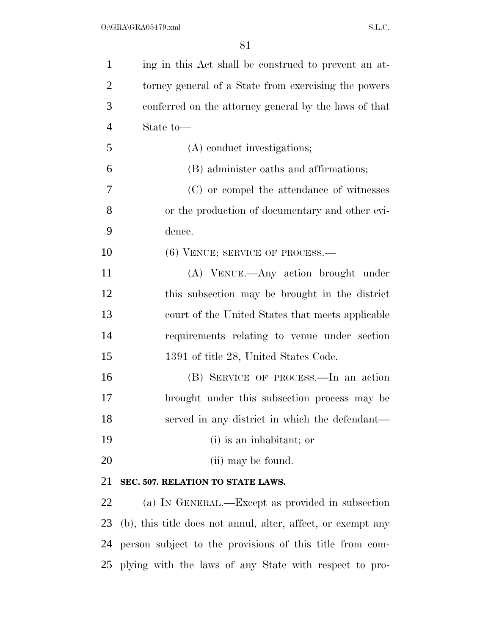| $\mathbf{1}$   | ing in this Act shall be construed to prevent an at-         |
|----------------|--------------------------------------------------------------|
| $\overline{2}$ | torney general of a State from exercising the powers         |
| 3              | conferred on the attorney general by the laws of that        |
| 4              | State to-                                                    |
| 5              | (A) conduct investigations;                                  |
| 6              | (B) administer oaths and affirmations;                       |
| 7              | (C) or compel the attendance of witnesses                    |
| 8              | or the production of documentary and other evi-              |
| 9              | dence.                                                       |
| 10             | $(6)$ VENUE; SERVICE OF PROCESS.—                            |
| 11             | (A) VENUE.—Any action brought under                          |
| 12             | this subsection may be brought in the district               |
| 13             | court of the United States that meets applicable             |
| 14             | requirements relating to venue under section                 |
| 15             | 1391 of title 28, United States Code.                        |
| 16             | (B) SERVICE OF PROCESS.—In an action                         |
| 17             | brought under this subsection process may be                 |
| 18             | served in any district in which the defendant—               |
| 19             | (i) is an inhabitant; or                                     |
| 20             | (ii) may be found.                                           |
| 21             | SEC. 507. RELATION TO STATE LAWS.                            |
| 22             | (a) IN GENERAL.—Except as provided in subsection             |
| 23             | (b), this title does not annul, alter, affect, or exempt any |
| 24             | person subject to the provisions of this title from com-     |
| 25             | plying with the laws of any State with respect to pro-       |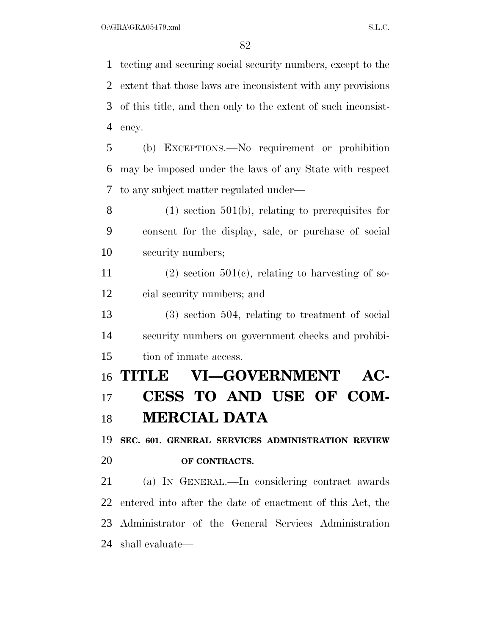tecting and securing social security numbers, except to the extent that those laws are inconsistent with any provisions of this title, and then only to the extent of such inconsist-ency.

 (b) EXCEPTIONS.—No requirement or prohibition may be imposed under the laws of any State with respect to any subject matter regulated under—

 (1) section 501(b), relating to prerequisites for consent for the display, sale, or purchase of social security numbers;

11 (2) section  $501(c)$ , relating to harvesting of so-cial security numbers; and

 (3) section 504, relating to treatment of social security numbers on government checks and prohibi-tion of inmate access.

## **TITLE VI—GOVERNMENT AC- CESS TO AND USE OF COM-MERCIAL DATA**

**SEC. 601. GENERAL SERVICES ADMINISTRATION REVIEW** 

## **OF CONTRACTS.**

 (a) IN GENERAL.—In considering contract awards entered into after the date of enactment of this Act, the Administrator of the General Services Administration shall evaluate—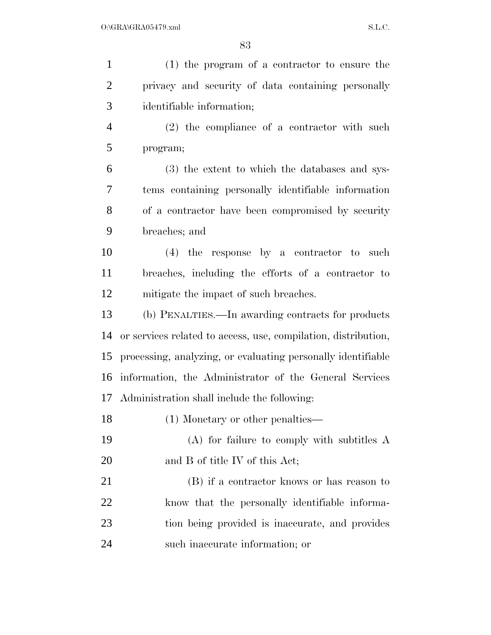| $\mathbf{1}$   | (1) the program of a contractor to ensure the                  |
|----------------|----------------------------------------------------------------|
| $\overline{2}$ | privacy and security of data containing personally             |
| 3              | identifiable information;                                      |
| $\overline{4}$ | $(2)$ the compliance of a contractor with such                 |
| 5              | program;                                                       |
| 6              | (3) the extent to which the databases and sys-                 |
| 7              | tems containing personally identifiable information            |
| 8              | of a contractor have been compromised by security              |
| 9              | breaches; and                                                  |
| 10             | $(4)$ the response by a contractor to such                     |
| 11             | breaches, including the efforts of a contractor to             |
| 12             | mitigate the impact of such breaches.                          |
| 13             | (b) PENALTIES.—In awarding contracts for products              |
| 14             | or services related to access, use, compilation, distribution, |
| 15             | processing, analyzing, or evaluating personally identifiable   |
| 16             | information, the Administrator of the General Services         |
| 17             | Administration shall include the following:                    |
| 18             | $(1)$ Monetary or other penalties—                             |
| 19             | $(A)$ for failure to comply with subtitles A                   |
| 20             | and B of title IV of this Act;                                 |
| 21             | (B) if a contractor knows or has reason to                     |
| 22             | know that the personally identifiable informa-                 |
| 23             | tion being provided is inaccurate, and provides                |
| 24             | such inaccurate information; or                                |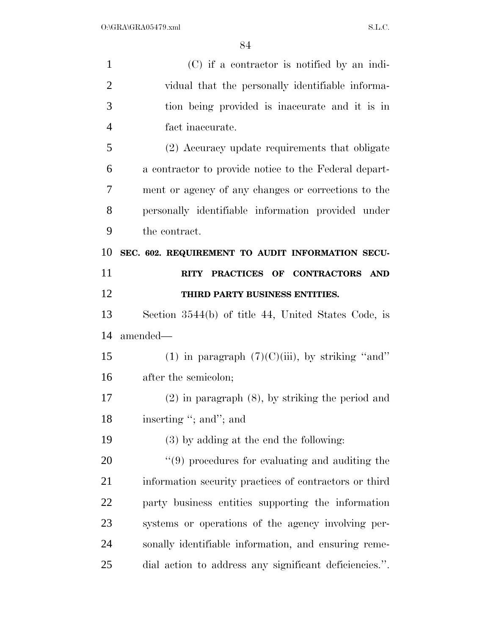| $\mathbf{1}$   | $(C)$ if a contractor is notified by an indi-          |
|----------------|--------------------------------------------------------|
| $\overline{2}$ | vidual that the personally identifiable informa-       |
| 3              | tion being provided is inaccurate and it is in         |
| $\overline{4}$ | fact inaccurate.                                       |
| 5              | (2) Accuracy update requirements that obligate         |
| 6              | a contractor to provide notice to the Federal depart-  |
| 7              | ment or agency of any changes or corrections to the    |
| 8              | personally identifiable information provided under     |
| 9              | the contract.                                          |
| 10             | SEC. 602. REQUIREMENT TO AUDIT INFORMATION SECU-       |
| 11             | RITY PRACTICES OF CONTRACTORS AND                      |
| 12             | THIRD PARTY BUSINESS ENTITIES.                         |
| 13             | Section 3544(b) of title 44, United States Code, is    |
| 14             | amended-                                               |
| 15             | (1) in paragraph $(7)(C)(iii)$ , by striking "and"     |
| 16             | after the semicolon;                                   |
| 17             | $(2)$ in paragraph $(8)$ , by striking the period and  |
| 18             | inserting "; and"; and                                 |
| 19             | $(3)$ by adding at the end the following:              |
| 20             | $\lq(9)$ procedures for evaluating and auditing the    |
| 21             | information security practices of contractors or third |
| 22             | party business entities supporting the information     |
| 23             | systems or operations of the agency involving per-     |
| 24             | sonally identifiable information, and ensuring reme-   |
| 25             | dial action to address any significant deficiencies.". |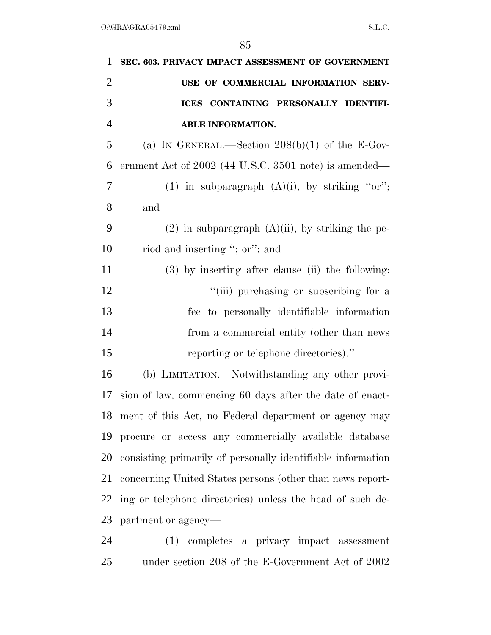| $\mathbf{1}$   | SEC. 603. PRIVACY IMPACT ASSESSMENT OF GOVERNMENT           |
|----------------|-------------------------------------------------------------|
| $\overline{2}$ | USE OF COMMERCIAL INFORMATION SERV-                         |
| 3              | CONTAINING PERSONALLY IDENTIFI-<br><b>ICES</b>              |
| $\overline{4}$ | ABLE INFORMATION.                                           |
| 5              | (a) IN GENERAL.—Section $208(b)(1)$ of the E-Gov-           |
| 6              | ernment Act of 2002 (44 U.S.C. 3501 note) is amended—       |
| 7              | (1) in subparagraph $(A)(i)$ , by striking "or";            |
| 8              | and                                                         |
| 9              | $(2)$ in subparagraph $(A)(ii)$ , by striking the pe-       |
| 10             | riod and inserting "; or"; and                              |
| 11             | (3) by inserting after clause (ii) the following:           |
| 12             | "(iii) purchasing or subscribing for a                      |
| 13             | fee to personally identifiable information                  |
| 14             | from a commercial entity (other than news                   |
| 15             | reporting or telephone directories).".                      |
| 16             | (b) LIMITATION.—Notwithstanding any other provi-            |
| 17             | sion of law, commencing 60 days after the date of enact-    |
|                | 18 ment of this Act, no Federal department or agency may    |
| 19             | procure or access any commercially available database       |
| 20             | consisting primarily of personally identifiable information |
| 21             | concerning United States persons (other than news report-   |
| 22             | ing or telephone directories) unless the head of such de-   |
| 23             | partment or agency—                                         |
| 24             | (1) completes a privacy impact assessment                   |

under section 208 of the E-Government Act of 2002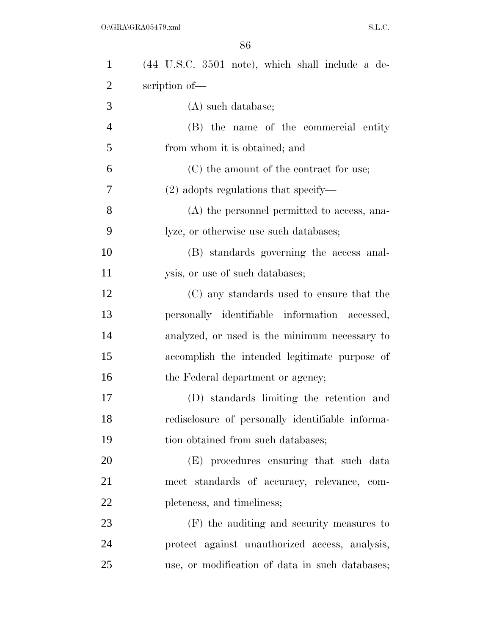| $\mathbf{1}$   | $(44 \t{U.S.C. } 3501 \t{note}),$ which shall include a de- |
|----------------|-------------------------------------------------------------|
| $\overline{2}$ | scription of-                                               |
| 3              | (A) such database;                                          |
| $\overline{4}$ | (B) the name of the commercial entity                       |
| 5              | from whom it is obtained; and                               |
| 6              | (C) the amount of the contract for use;                     |
| 7              | $(2)$ adopts regulations that specify—                      |
| 8              | (A) the personnel permitted to access, ana-                 |
| 9              | lyze, or otherwise use such databases;                      |
| 10             | (B) standards governing the access anal-                    |
| 11             | ysis, or use of such databases;                             |
| 12             | (C) any standards used to ensure that the                   |
| 13             | personally identifiable information accessed,               |
| 14             | analyzed, or used is the minimum necessary to               |
| 15             | accomplish the intended legitimate purpose of               |
| 16             | the Federal department or agency;                           |
| 17             | (D) standards limiting the retention and                    |
| 18             | redisclosure of personally identifiable informa-            |
| 19             | tion obtained from such databases;                          |
| 20             | (E) procedures ensuring that such data                      |
| 21             | meet standards of accuracy, relevance, com-                 |
| 22             | pleteness, and timeliness;                                  |
| 23             | (F) the auditing and security measures to                   |
| 24             | protect against unauthorized access, analysis,              |
| 25             | use, or modification of data in such databases;             |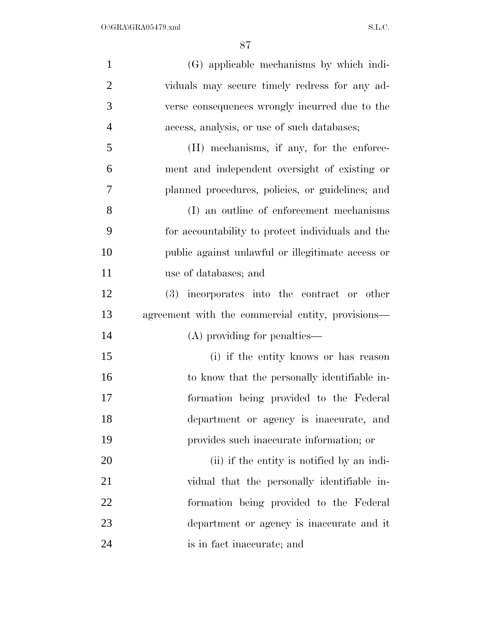| $\mathbf{1}$   | (G) applicable mechanisms by which indi-          |
|----------------|---------------------------------------------------|
| $\overline{2}$ | viduals may secure timely redress for any ad-     |
| 3              | verse consequences wrongly incurred due to the    |
| $\overline{4}$ | access, analysis, or use of such databases;       |
| 5              | (H) mechanisms, if any, for the enforce-          |
| 6              | ment and independent oversight of existing or     |
| 7              | planned procedures, policies, or guidelines; and  |
| 8              | (I) an outline of enforcement mechanisms          |
| 9              | for accountability to protect individuals and the |
| 10             | public against unlawful or illegitimate access or |
| 11             | use of databases; and                             |
| 12             | (3) incorporates into the contract or other       |
| 13             | agreement with the commercial entity, provisions— |
| 14             | (A) providing for penalties—                      |
| 15             | (i) if the entity knows or has reason             |
| 16             | to know that the personally identifiable in-      |
| 17             | formation being provided to the Federal           |
| 18             | department or agency is inaccurate, and           |
| 19             | provides such inaccurate information; or          |
| 20             | (ii) if the entity is notified by an indi-        |
| 21             | vidual that the personally identifiable in-       |
| 22             | formation being provided to the Federal           |
| 23             | department or agency is inaccurate and it         |
| 24             | is in fact inaccurate; and                        |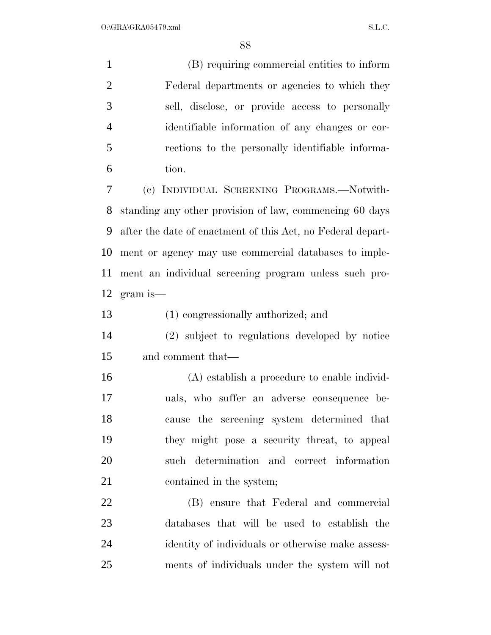(B) requiring commercial entities to inform Federal departments or agencies to which they sell, disclose, or provide access to personally identifiable information of any changes or cor- rections to the personally identifiable informa- tion. (c) INDIVIDUAL SCREENING PROGRAMS.—Notwith- standing any other provision of law, commencing 60 days after the date of enactment of this Act, no Federal depart-ment or agency may use commercial databases to imple-

 ment an individual screening program unless such pro-gram is—

(1) congressionally authorized; and

 (2) subject to regulations developed by notice and comment that—

 (A) establish a procedure to enable individ- uals, who suffer an adverse consequence be- cause the screening system determined that they might pose a security threat, to appeal such determination and correct information 21 contained in the system;

 (B) ensure that Federal and commercial databases that will be used to establish the identity of individuals or otherwise make assess-ments of individuals under the system will not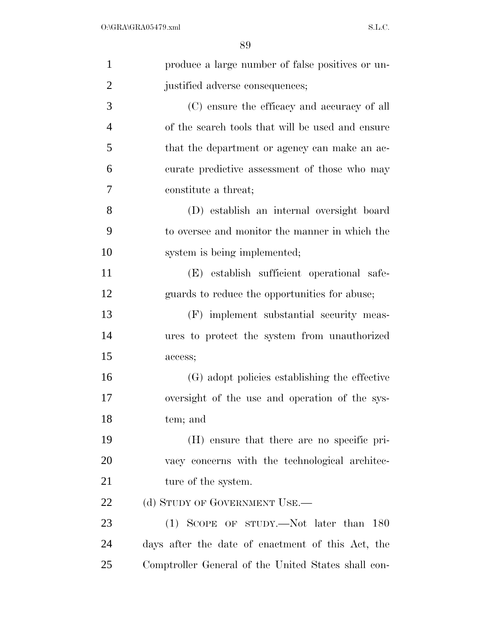| $\mathbf{1}$   | produce a large number of false positives or un-    |
|----------------|-----------------------------------------------------|
| $\overline{2}$ | justified adverse consequences;                     |
| 3              | (C) ensure the efficacy and accuracy of all         |
| $\overline{4}$ | of the search tools that will be used and ensure    |
| $\mathfrak{S}$ | that the department or agency can make an ac-       |
| 6              | curate predictive assessment of those who may       |
| 7              | constitute a threat;                                |
| 8              | (D) establish an internal oversight board           |
| 9              | to oversee and monitor the manner in which the      |
| 10             | system is being implemented;                        |
| 11             | (E) establish sufficient operational safe-          |
| 12             | guards to reduce the opportunities for abuse;       |
| 13             | (F) implement substantial security meas-            |
| 14             | ures to protect the system from unauthorized        |
| 15             | access;                                             |
| 16             | (G) adopt policies establishing the effective       |
| 17             | oversight of the use and operation of the sys-      |
| 18             | tem; and                                            |
| 19             | (H) ensure that there are no specific pri-          |
| 20             | vacy concerns with the technological architec-      |
| 21             | ture of the system.                                 |
| 22             | (d) STUDY OF GOVERNMENT USE.—                       |
| 23             | $(1)$ SCOPE OF STUDY.—Not later than 180            |
| 24             | days after the date of enactment of this Act, the   |
| 25             | Comptroller General of the United States shall con- |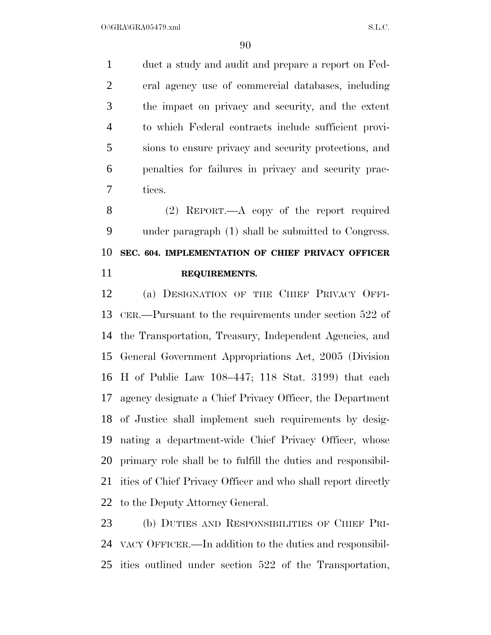duct a study and audit and prepare a report on Fed- eral agency use of commercial databases, including the impact on privacy and security, and the extent to which Federal contracts include sufficient provi- sions to ensure privacy and security protections, and penalties for failures in privacy and security prac-tices.

 (2) REPORT.—A copy of the report required under paragraph (1) shall be submitted to Congress. **SEC. 604. IMPLEMENTATION OF CHIEF PRIVACY OFFICER REQUIREMENTS.** 

 (a) DESIGNATION OF THE CHIEF PRIVACY OFFI- CER.—Pursuant to the requirements under section 522 of the Transportation, Treasury, Independent Agencies, and General Government Appropriations Act, 2005 (Division H of Public Law 108–447; 118 Stat. 3199) that each agency designate a Chief Privacy Officer, the Department of Justice shall implement such requirements by desig- nating a department-wide Chief Privacy Officer, whose primary role shall be to fulfill the duties and responsibil- ities of Chief Privacy Officer and who shall report directly to the Deputy Attorney General.

 (b) DUTIES AND RESPONSIBILITIES OF CHIEF PRI- VACY OFFICER.—In addition to the duties and responsibil-ities outlined under section 522 of the Transportation,